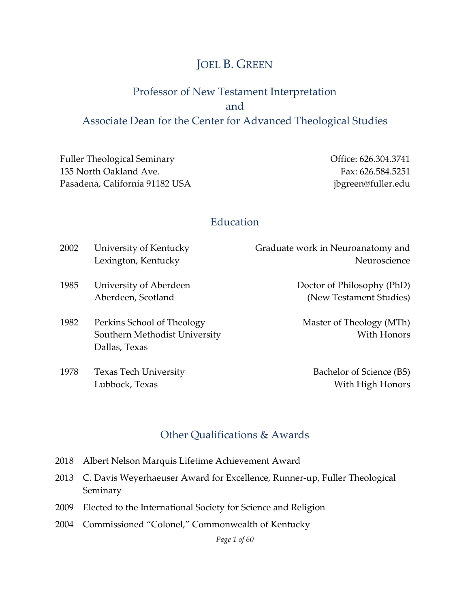### JOEL B. GREEN

### Professor of New Testament Interpretation and Associate Dean for the Center for Advanced Theological Studies

Fuller Theological Seminary 135 North Oakland Ave. Pasadena, California 91182 USA

Lubbock, Texas

Office: 626.304.3741 Fax: 626.584.5251 [jbgreen@fuller.edu](mailto:jbgreen@fuller.edu)

With High Honors

#### Education

| 2002 | University of Kentucky        | Graduate work in Neuroanatomy and |
|------|-------------------------------|-----------------------------------|
|      | Lexington, Kentucky           | Neuroscience                      |
| 1985 | University of Aberdeen        | Doctor of Philosophy (PhD)        |
|      | Aberdeen, Scotland            | (New Testament Studies)           |
| 1982 | Perkins School of Theology    | Master of Theology (MTh)          |
|      | Southern Methodist University | With Honors                       |
|      | Dallas, Texas                 |                                   |
| 1978 | <b>Texas Tech University</b>  | Bachelor of Science (BS)          |

#### Other Qualifications & Awards

- 2018 Albert Nelson Marquis Lifetime Achievement Award
- 2013 C. Davis Weyerhaeuser Award for Excellence, Runner-up, Fuller Theological Seminary
- 2009 Elected to the International Society for Science and Religion
- 2004 Commissioned "Colonel," Commonwealth of Kentucky

*Page 1 of 60*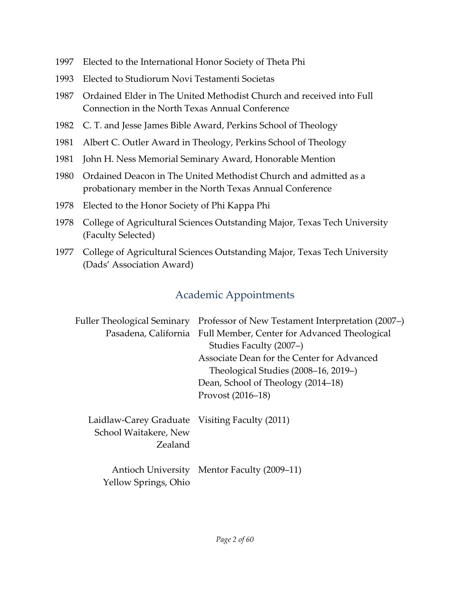- 1997 Elected to the International Honor Society of Theta Phi
- 1993 Elected to Studiorum Novi Testamenti Societas
- 1987 Ordained Elder in The United Methodist Church and received into Full Connection in the North Texas Annual Conference
- 1982 C. T. and Jesse James Bible Award, Perkins School of Theology
- 1981 Albert C. Outler Award in Theology, Perkins School of Theology
- 1981 John H. Ness Memorial Seminary Award, Honorable Mention
- 1980 Ordained Deacon in The United Methodist Church and admitted as a probationary member in the North Texas Annual Conference
- 1978 Elected to the Honor Society of Phi Kappa Phi
- 1978 College of Agricultural Sciences Outstanding Major, Texas Tech University (Faculty Selected)
- 1977 College of Agricultural Sciences Outstanding Major, Texas Tech University (Dads' Association Award)

## Academic Appointments

| Fuller Theological Seminary                                                        | Professor of New Testament Interpretation (2007–)<br>Pasadena, California Full Member, Center for Advanced Theological<br>Studies Faculty (2007–)<br>Associate Dean for the Center for Advanced<br>Theological Studies (2008–16, 2019–)<br>Dean, School of Theology (2014–18)<br>Provost (2016–18) |
|------------------------------------------------------------------------------------|----------------------------------------------------------------------------------------------------------------------------------------------------------------------------------------------------------------------------------------------------------------------------------------------------|
| Laidlaw-Carey Graduate Visiting Faculty (2011)<br>School Waitakere, New<br>Zealand |                                                                                                                                                                                                                                                                                                    |
| Yellow Springs, Ohio                                                               | Antioch University Mentor Faculty (2009–11)                                                                                                                                                                                                                                                        |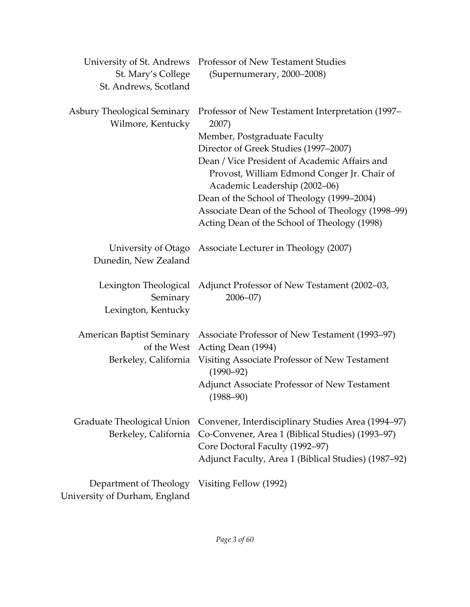|                                                                                | University of St. Andrews Professor of New Testament Studies                        |
|--------------------------------------------------------------------------------|-------------------------------------------------------------------------------------|
| St. Mary's College                                                             | (Supernumerary, 2000-2008)                                                          |
| St. Andrews, Scotland                                                          |                                                                                     |
| Asbury Theological Seminary<br>Wilmore, Kentucky                               | Professor of New Testament Interpretation (1997–<br>2007)                           |
|                                                                                | Member, Postgraduate Faculty                                                        |
|                                                                                | Director of Greek Studies (1997-2007)                                               |
|                                                                                | Dean / Vice President of Academic Affairs and                                       |
|                                                                                | Provost, William Edmond Conger Jr. Chair of                                         |
|                                                                                | Academic Leadership (2002-06)                                                       |
|                                                                                | Dean of the School of Theology (1999-2004)                                          |
|                                                                                | Associate Dean of the School of Theology (1998-99)                                  |
|                                                                                | Acting Dean of the School of Theology (1998)                                        |
|                                                                                | University of Otago Associate Lecturer in Theology (2007)                           |
| Dunedin, New Zealand                                                           |                                                                                     |
| Seminary<br>Lexington, Kentucky                                                | Lexington Theological Adjunct Professor of New Testament (2002–03,<br>$2006 - 07$   |
|                                                                                |                                                                                     |
| American Baptist Seminary<br>of the West                                       | Associate Professor of New Testament (1993–97)<br>Acting Dean (1994)                |
| Berkeley, California                                                           | Visiting Associate Professor of New Testament<br>$(1990 - 92)$                      |
|                                                                                | <b>Adjunct Associate Professor of New Testament</b><br>$(1988 - 90)$                |
| Graduate Theological Union                                                     | Convener, Interdisciplinary Studies Area (1994-97)                                  |
| Berkeley, California                                                           | Co-Convener, Area 1 (Biblical Studies) (1993-97)<br>Core Doctoral Faculty (1992-97) |
|                                                                                | Adjunct Faculty, Area 1 (Biblical Studies) (1987–92)                                |
| Department of Theology Visiting Fellow (1992)<br>University of Durham, England |                                                                                     |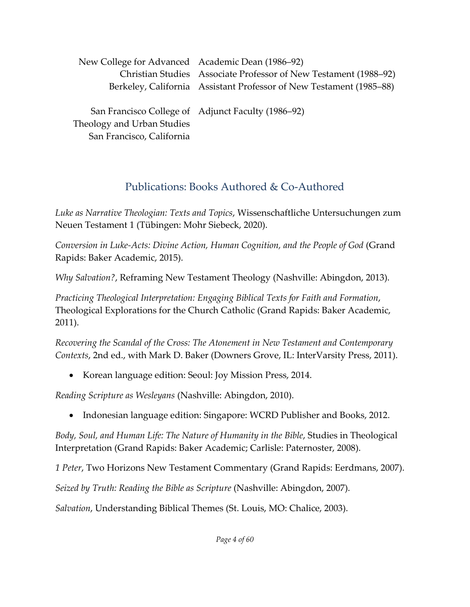| New College for Advanced Academic Dean (1986–92) |                                                                     |
|--------------------------------------------------|---------------------------------------------------------------------|
|                                                  | Christian Studies Associate Professor of New Testament (1988–92)    |
|                                                  | Berkeley, California Assistant Professor of New Testament (1985–88) |
|                                                  |                                                                     |
|                                                  | San Francisco College of Adjunct Faculty (1986–92)                  |
| Theology and Urban Studies                       |                                                                     |

### Publications: Books Authored & Co-Authored

*Luke as Narrative Theologian: Texts and Topics*, Wissenschaftliche Untersuchungen zum Neuen Testament 1 (Tübingen: Mohr Siebeck, 2020).

*Conversion in Luke-Acts: Divine Action, Human Cognition, and the People of God* (Grand Rapids: Baker Academic, 2015).

*Why Salvation?*, Reframing New Testament Theology (Nashville: Abingdon, 2013).

*Practicing Theological Interpretation: Engaging Biblical Texts for Faith and Formation*, Theological Explorations for the Church Catholic (Grand Rapids: Baker Academic, 2011).

*Recovering the Scandal of the Cross: The Atonement in New Testament and Contemporary Contexts*, 2nd ed., with Mark D. Baker (Downers Grove, IL: InterVarsity Press, 2011).

• Korean language edition: Seoul: Joy Mission Press, 2014.

*Reading Scripture as Wesleyans* (Nashville: Abingdon, 2010).

San Francisco, California

• Indonesian language edition: Singapore: WCRD Publisher and Books, 2012.

*Body, Soul, and Human Life: The Nature of Humanity in the Bible*, Studies in Theological Interpretation (Grand Rapids: Baker Academic; Carlisle: Paternoster, 2008).

*1 Peter*, Two Horizons New Testament Commentary (Grand Rapids: Eerdmans, 2007).

*Seized by Truth: Reading the Bible as Scripture* (Nashville: Abingdon, 2007).

*Salvation*, Understanding Biblical Themes (St. Louis, MO: Chalice, 2003).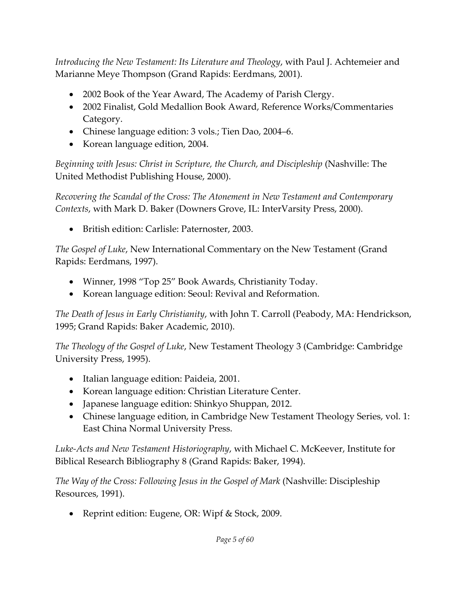*Introducing the New Testament: Its Literature and Theology*, with Paul J. Achtemeier and Marianne Meye Thompson (Grand Rapids: Eerdmans, 2001).

- 2002 Book of the Year Award, The Academy of Parish Clergy.
- 2002 Finalist, Gold Medallion Book Award, Reference Works/Commentaries Category.
- Chinese language edition: 3 vols.; Tien Dao, 2004–6.
- Korean language edition, 2004.

*Beginning with Jesus: Christ in Scripture, the Church, and Discipleship* (Nashville: The United Methodist Publishing House, 2000).

*Recovering the Scandal of the Cross: The Atonement in New Testament and Contemporary Contexts*, with Mark D. Baker (Downers Grove, IL: InterVarsity Press, 2000).

• British edition: Carlisle: Paternoster, 2003.

*The Gospel of Luke*, New International Commentary on the New Testament (Grand Rapids: Eerdmans, 1997).

- Winner, 1998 "Top 25" Book Awards, Christianity Today.
- Korean language edition: Seoul: Revival and Reformation.

*The Death of Jesus in Early Christianity*, with John T. Carroll (Peabody, MA: Hendrickson, 1995; Grand Rapids: Baker Academic, 2010).

*The Theology of the Gospel of Luke*, New Testament Theology 3 (Cambridge: Cambridge University Press, 1995).

- Italian language edition: Paideia, 2001.
- Korean language edition: Christian Literature Center.
- Japanese language edition: Shinkyo Shuppan, 2012.
- Chinese language edition, in Cambridge New Testament Theology Series, vol. 1: East China Normal University Press.

*Luke-Acts and New Testament Historiography*, with Michael C. McKeever, Institute for Biblical Research Bibliography 8 (Grand Rapids: Baker, 1994).

*The Way of the Cross: Following Jesus in the Gospel of Mark* (Nashville: Discipleship Resources, 1991).

• Reprint edition: Eugene, OR: Wipf & Stock, 2009.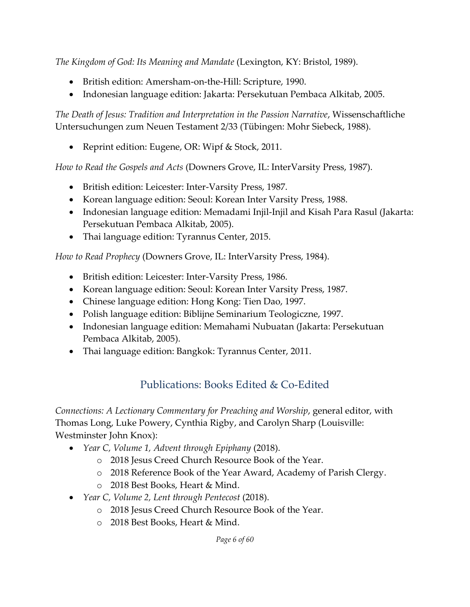*The Kingdom of God: Its Meaning and Mandate* (Lexington, KY: Bristol, 1989).

- British edition: Amersham-on-the-Hill: Scripture, 1990.
- Indonesian language edition: Jakarta: Persekutuan Pembaca Alkitab, 2005.

*The Death of Jesus: Tradition and Interpretation in the Passion Narrative*, Wissenschaftliche Untersuchungen zum Neuen Testament 2/33 (Tübingen: Mohr Siebeck, 1988).

• Reprint edition: Eugene, OR: Wipf & Stock, 2011.

*How to Read the Gospels and Acts* (Downers Grove, IL: InterVarsity Press, 1987).

- British edition: Leicester: Inter-Varsity Press, 1987.
- Korean language edition: Seoul: Korean Inter Varsity Press, 1988.
- Indonesian language edition: Memadami Injil-Injil and Kisah Para Rasul (Jakarta: Persekutuan Pembaca Alkitab, 2005).
- Thai language edition: Tyrannus Center, 2015.

*How to Read Prophecy* (Downers Grove, IL: InterVarsity Press, 1984).

- British edition: Leicester: Inter-Varsity Press, 1986.
- Korean language edition: Seoul: Korean Inter Varsity Press, 1987.
- Chinese language edition: Hong Kong: Tien Dao, 1997.
- Polish language edition: Biblijne Seminarium Teologiczne, 1997.
- Indonesian language edition: Memahami Nubuatan (Jakarta: Persekutuan Pembaca Alkitab, 2005).
- Thai language edition: Bangkok: Tyrannus Center, 2011.

## Publications: Books Edited & Co-Edited

*Connections: A Lectionary Commentary for Preaching and Worship*, general editor, with Thomas Long, Luke Powery, Cynthia Rigby, and Carolyn Sharp (Louisville: Westminster John Knox):

- *Year C, Volume 1, Advent through Epiphany* (2018).
	- o 2018 Jesus Creed Church Resource Book of the Year.
	- o 2018 Reference Book of the Year Award, Academy of Parish Clergy.
	- o 2018 Best Books, Heart & Mind.
- *Year C, Volume 2, Lent through Pentecost* (2018).
	- o 2018 Jesus Creed Church Resource Book of the Year.
	- o 2018 Best Books, Heart & Mind.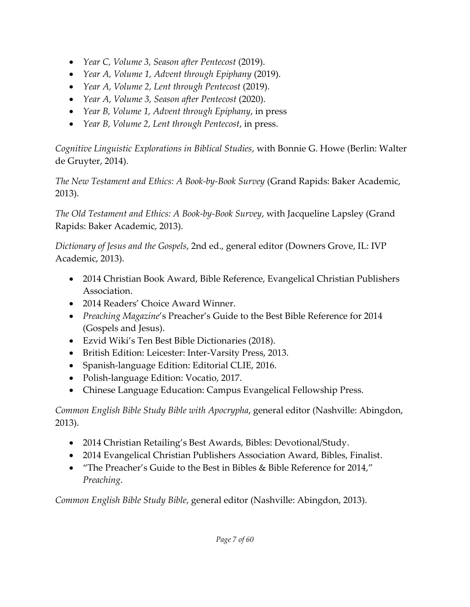- *Year C, Volume 3, Season after Pentecost* (2019).
- *Year A, Volume 1, Advent through Epiphany* (2019).
- *Year A, Volume 2, Lent through Pentecost* (2019).
- *Year A, Volume 3, Season after Pentecost* (2020).
- *Year B, Volume 1, Advent through Epiphany*, in press
- *Year B, Volume 2, Lent through Pentecost*, in press.

*Cognitive Linguistic Explorations in Biblical Studies*, with Bonnie G. Howe (Berlin: Walter de Gruyter, 2014).

*The New Testament and Ethics: A Book-by-Book Survey* (Grand Rapids: Baker Academic, 2013).

*The Old Testament and Ethics: A Book-by-Book Survey*, with Jacqueline Lapsley (Grand Rapids: Baker Academic, 2013).

*Dictionary of Jesus and the Gospels*, 2nd ed., general editor (Downers Grove, IL: IVP Academic, 2013).

- 2014 Christian Book Award, Bible Reference, Evangelical Christian Publishers Association.
- 2014 Readers' Choice Award Winner.
- *Preaching Magazine*'s Preacher's Guide to the Best Bible Reference for 2014 (Gospels and Jesus).
- Ezvid Wiki's Ten Best Bible Dictionaries (2018).
- British Edition: Leicester: Inter-Varsity Press, 2013.
- Spanish-language Edition: Editorial CLIE, 2016.
- Polish-language Edition: Vocatio, 2017.
- Chinese Language Education: Campus Evangelical Fellowship Press.

*Common English Bible Study Bible with Apocrypha*, general editor (Nashville: Abingdon, 2013).

- 2014 Christian Retailing's Best Awards, Bibles: Devotional/Study.
- 2014 Evangelical Christian Publishers Association Award, Bibles, Finalist.
- "The Preacher's Guide to the Best in Bibles & Bible Reference for 2014," *Preaching*.

*Common English Bible Study Bible*, general editor (Nashville: Abingdon, 2013).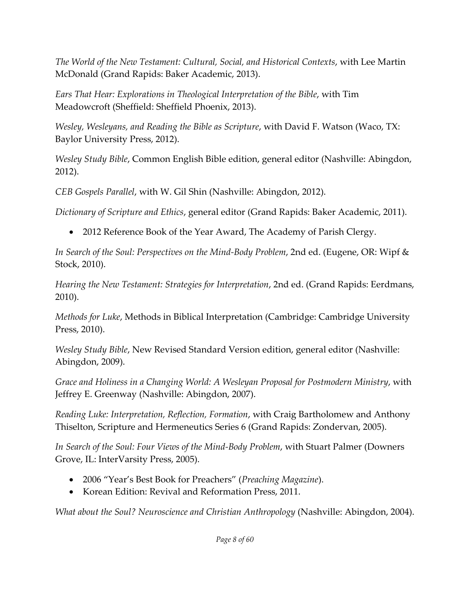*The World of the New Testament: Cultural, Social, and Historical Contexts*, with Lee Martin McDonald (Grand Rapids: Baker Academic, 2013).

*Ears That Hear: Explorations in Theological Interpretation of the Bible*, with Tim Meadowcroft (Sheffield: Sheffield Phoenix, 2013).

*Wesley, Wesleyans, and Reading the Bible as Scripture*, with David F. Watson (Waco, TX: Baylor University Press, 2012).

*Wesley Study Bible*, Common English Bible edition, general editor (Nashville: Abingdon, 2012).

*CEB Gospels Parallel*, with W. Gil Shin (Nashville: Abingdon, 2012).

*Dictionary of Scripture and Ethics*, general editor (Grand Rapids: Baker Academic, 2011).

• 2012 Reference Book of the Year Award, The Academy of Parish Clergy.

*In Search of the Soul: Perspectives on the Mind-Body Problem*, 2nd ed. (Eugene, OR: Wipf & Stock, 2010).

*Hearing the New Testament: Strategies for Interpretation*, 2nd ed. (Grand Rapids: Eerdmans, 2010).

*Methods for Luke*, Methods in Biblical Interpretation (Cambridge: Cambridge University Press, 2010).

*Wesley Study Bible*, New Revised Standard Version edition, general editor (Nashville: Abingdon, 2009).

*Grace and Holiness in a Changing World: A Wesleyan Proposal for Postmodern Ministry*, with Jeffrey E. Greenway (Nashville: Abingdon, 2007).

*Reading Luke: Interpretation, Reflection, Formation*, with Craig Bartholomew and Anthony Thiselton, Scripture and Hermeneutics Series 6 (Grand Rapids: Zondervan, 2005).

*In Search of the Soul: Four Views of the Mind-Body Problem*, with Stuart Palmer (Downers Grove, IL: InterVarsity Press, 2005).

- 2006 "Year's Best Book for Preachers" (*Preaching Magazine*).
- Korean Edition: Revival and Reformation Press, 2011.

*What about the Soul? Neuroscience and Christian Anthropology* (Nashville: Abingdon, 2004).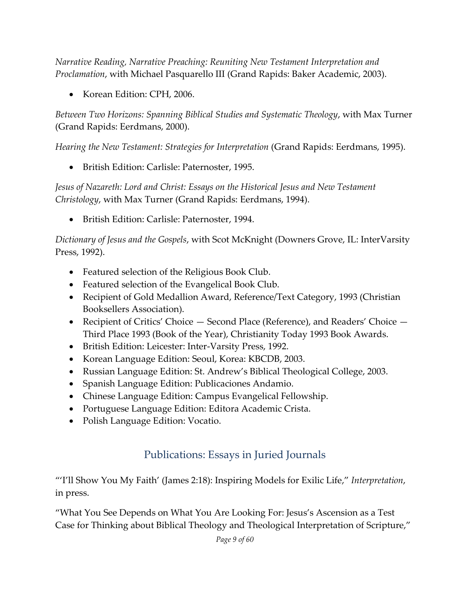*Narrative Reading, Narrative Preaching: Reuniting New Testament Interpretation and Proclamation*, with Michael Pasquarello III (Grand Rapids: Baker Academic, 2003).

• Korean Edition: CPH, 2006.

*Between Two Horizons: Spanning Biblical Studies and Systematic Theology*, with Max Turner (Grand Rapids: Eerdmans, 2000).

*Hearing the New Testament: Strategies for Interpretation* (Grand Rapids: Eerdmans, 1995).

• British Edition: Carlisle: Paternoster, 1995.

*Jesus of Nazareth: Lord and Christ: Essays on the Historical Jesus and New Testament Christology*, with Max Turner (Grand Rapids: Eerdmans, 1994).

• British Edition: Carlisle: Paternoster, 1994.

*Dictionary of Jesus and the Gospels*, with Scot McKnight (Downers Grove, IL: InterVarsity Press, 1992).

- Featured selection of the Religious Book Club.
- Featured selection of the Evangelical Book Club.
- Recipient of Gold Medallion Award, Reference/Text Category, 1993 (Christian Booksellers Association).
- Recipient of Critics' Choice Second Place (Reference), and Readers' Choice Third Place 1993 (Book of the Year), Christianity Today 1993 Book Awards.
- British Edition: Leicester: Inter-Varsity Press, 1992.
- Korean Language Edition: Seoul, Korea: KBCDB, 2003.
- Russian Language Edition: St. Andrew's Biblical Theological College, 2003.
- Spanish Language Edition: Publicaciones Andamio.
- Chinese Language Edition: Campus Evangelical Fellowship.
- Portuguese Language Edition: Editora Academic Crista.
- Polish Language Edition: Vocatio.

## Publications: Essays in Juried Journals

"'I'll Show You My Faith' (James 2:18): Inspiring Models for Exilic Life," *Interpretation*, in press.

"What You See Depends on What You Are Looking For: Jesus's Ascension as a Test Case for Thinking about Biblical Theology and Theological Interpretation of Scripture,"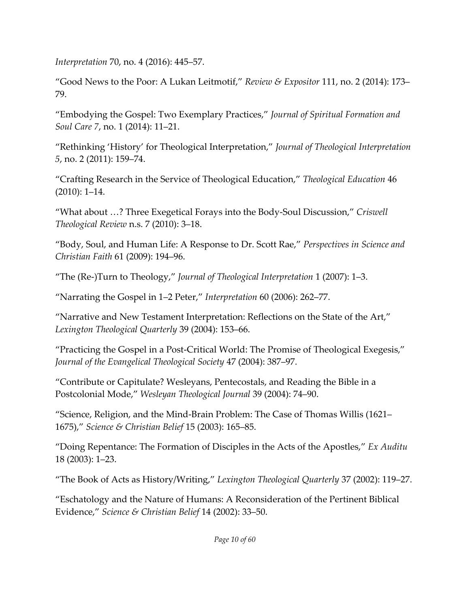*Interpretation* 70, no. 4 (2016): 445–57.

"Good News to the Poor: A Lukan Leitmotif," *Review & Expositor* 111, no. 2 (2014): 173– 79.

"Embodying the Gospel: Two Exemplary Practices," *Journal of Spiritual Formation and Soul Care 7*, no. 1 (2014): 11–21.

"Rethinking 'History' for Theological Interpretation," *Journal of Theological Interpretation 5*, no. 2 (2011): 159–74.

"Crafting Research in the Service of Theological Education," *Theological Education* 46 (2010): 1–14.

"What about …? Three Exegetical Forays into the Body-Soul Discussion," *Criswell Theological Review* n.s. 7 (2010): 3–18.

"Body, Soul, and Human Life: A Response to Dr. Scott Rae," *Perspectives in Science and Christian Faith* 61 (2009): 194–96.

"The (Re-)Turn to Theology," *Journal of Theological Interpretation* 1 (2007): 1–3.

"Narrating the Gospel in 1–2 Peter," *Interpretation* 60 (2006): 262–77.

"Narrative and New Testament Interpretation: Reflections on the State of the Art," *Lexington Theological Quarterly* 39 (2004): 153–66.

"Practicing the Gospel in a Post-Critical World: The Promise of Theological Exegesis," *Journal of the Evangelical Theological Society* 47 (2004): 387–97.

"Contribute or Capitulate? Wesleyans, Pentecostals, and Reading the Bible in a Postcolonial Mode," *Wesleyan Theological Journal* 39 (2004): 74–90.

"Science, Religion, and the Mind-Brain Problem: The Case of Thomas Willis (1621– 1675)," *Science & Christian Belief* 15 (2003): 165–85.

"Doing Repentance: The Formation of Disciples in the Acts of the Apostles," *Ex Auditu* 18 (2003): 1–23.

"The Book of Acts as History/Writing," *Lexington Theological Quarterly* 37 (2002): 119–27.

"Eschatology and the Nature of Humans: A Reconsideration of the Pertinent Biblical Evidence," *Science & Christian Belief* 14 (2002): 33–50.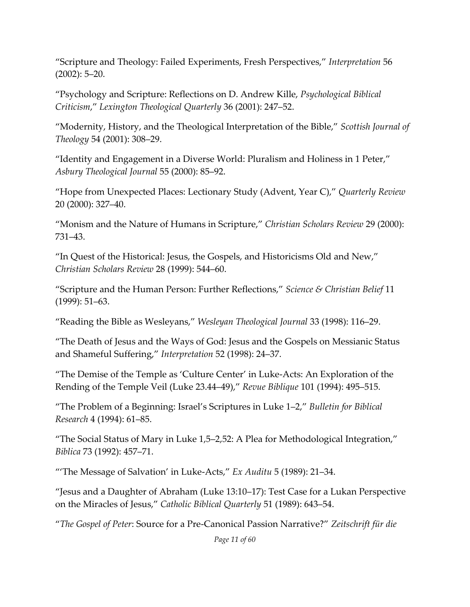"Scripture and Theology: Failed Experiments, Fresh Perspectives," *Interpretation* 56 (2002): 5–20.

"Psychology and Scripture: Reflections on D. Andrew Kille, *Psychological Biblical Criticism*," *Lexington Theological Quarterly* 36 (2001): 247–52.

"Modernity, History, and the Theological Interpretation of the Bible," *Scottish Journal of Theology* 54 (2001): 308–29.

"Identity and Engagement in a Diverse World: Pluralism and Holiness in 1 Peter," *Asbury Theological Journal* 55 (2000): 85–92.

"Hope from Unexpected Places: Lectionary Study (Advent, Year C)," *Quarterly Review* 20 (2000): 327–40.

"Monism and the Nature of Humans in Scripture," *Christian Scholars Review* 29 (2000): 731–43.

"In Quest of the Historical: Jesus, the Gospels, and Historicisms Old and New," *Christian Scholars Review* 28 (1999): 544–60.

"Scripture and the Human Person: Further Reflections," *Science & Christian Belief* 11 (1999): 51–63.

"Reading the Bible as Wesleyans," *Wesleyan Theological Journal* 33 (1998): 116–29.

"The Death of Jesus and the Ways of God: Jesus and the Gospels on Messianic Status and Shameful Suffering," *Interpretation* 52 (1998): 24–37.

"The Demise of the Temple as 'Culture Center' in Luke-Acts: An Exploration of the Rending of the Temple Veil (Luke 23.44–49)," *Revue Biblique* 101 (1994): 495–515.

"The Problem of a Beginning: Israel's Scriptures in Luke 1–2," *Bulletin for Biblical Research* 4 (1994): 61–85.

"The Social Status of Mary in Luke 1,5–2,52: A Plea for Methodological Integration," *Biblica* 73 (1992): 457–71.

"'The Message of Salvation' in Luke-Acts," *Ex Auditu* 5 (1989): 21–34.

"Jesus and a Daughter of Abraham (Luke 13:10–17): Test Case for a Lukan Perspective on the Miracles of Jesus," *Catholic Biblical Quarterly* 51 (1989): 643–54.

"*The Gospel of Peter*: Source for a Pre-Canonical Passion Narrative?" *Zeitschrift für die*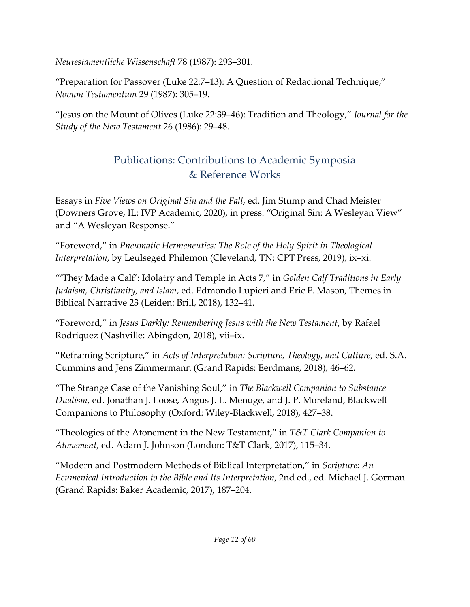*Neutestamentliche Wissenschaft* 78 (1987): 293–301.

"Preparation for Passover (Luke 22:7–13): A Question of Redactional Technique," *Novum Testamentum* 29 (1987): 305–19.

"Jesus on the Mount of Olives (Luke 22:39–46): Tradition and Theology," *Journal for the Study of the New Testament* 26 (1986): 29–48.

# Publications: Contributions to Academic Symposia & Reference Works

Essays in *Five Views on Original Sin and the Fall*, ed. Jim Stump and Chad Meister (Downers Grove, IL: IVP Academic, 2020), in press: "Original Sin: A Wesleyan View" and "A Wesleyan Response."

"Foreword," in *Pneumatic Hermeneutics: The Role of the Holy Spirit in Theological Interpretation*, by Leulseged Philemon (Cleveland, TN: CPT Press, 2019), ix–xi.

"'They Made a Calf': Idolatry and Temple in Acts 7," in *Golden Calf Traditions in Early Judaism, Christianity, and Islam*, ed. Edmondo Lupieri and Eric F. Mason, Themes in Biblical Narrative 23 (Leiden: Brill, 2018), 132–41.

"Foreword," in *Jesus Darkly: Remembering Jesus with the New Testament*, by Rafael Rodriquez (Nashville: Abingdon, 2018), vii–ix.

"Reframing Scripture," in *Acts of Interpretation: Scripture, Theology, and Culture*, ed. S.A. Cummins and Jens Zimmermann (Grand Rapids: Eerdmans, 2018), 46–62.

"The Strange Case of the Vanishing Soul," in *The Blackwell Companion to Substance Dualism*, ed. Jonathan J. Loose, Angus J. L. Menuge, and J. P. Moreland, Blackwell Companions to Philosophy (Oxford: Wiley-Blackwell, 2018), 427–38.

"Theologies of the Atonement in the New Testament," in *T&T Clark Companion to Atonement*, ed. Adam J. Johnson (London: T&T Clark, 2017), 115–34.

"Modern and Postmodern Methods of Biblical Interpretation," in *Scripture: An Ecumenical Introduction to the Bible and Its Interpretation*, 2nd ed., ed. Michael J. Gorman (Grand Rapids: Baker Academic, 2017), 187–204.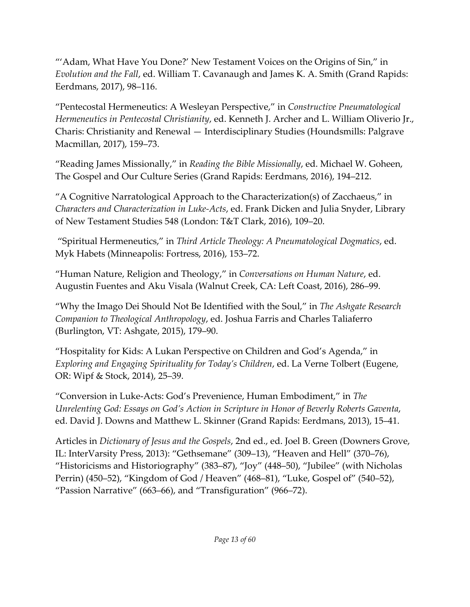"'Adam, What Have You Done?' New Testament Voices on the Origins of Sin," in *Evolution and the Fall*, ed. William T. Cavanaugh and James K. A. Smith (Grand Rapids: Eerdmans, 2017), 98–116.

"Pentecostal Hermeneutics: A Wesleyan Perspective," in *Constructive Pneumatological Hermeneutics in Pentecostal Christianity*, ed. Kenneth J. Archer and L. William Oliverio Jr., Charis: Christianity and Renewal — Interdisciplinary Studies (Houndsmills: Palgrave Macmillan, 2017), 159–73.

"Reading James Missionally," in *Reading the Bible Missionally*, ed. Michael W. Goheen, The Gospel and Our Culture Series (Grand Rapids: Eerdmans, 2016), 194–212.

"A Cognitive Narratological Approach to the Characterization(s) of Zacchaeus," in *Characters and Characterization in Luke-Acts*, ed. Frank Dicken and Julia Snyder, Library of New Testament Studies 548 (London: T&T Clark, 2016), 109–20.

"Spiritual Hermeneutics," in *Third Article Theology: A Pneumatological Dogmatics*, ed. Myk Habets (Minneapolis: Fortress, 2016), 153–72.

"Human Nature, Religion and Theology," in *Conversations on Human Nature*, ed. Augustin Fuentes and Aku Visala (Walnut Creek, CA: Left Coast, 2016), 286–99.

"Why the Imago Dei Should Not Be Identified with the Soul," in *The Ashgate Research Companion to Theological Anthropology*, ed. Joshua Farris and Charles Taliaferro (Burlington, VT: Ashgate, 2015), 179–90.

"Hospitality for Kids: A Lukan Perspective on Children and God's Agenda," in *Exploring and Engaging Spirituality for Today's Children*, ed. La Verne Tolbert (Eugene, OR: Wipf & Stock, 2014), 25–39.

"Conversion in Luke-Acts: God's Prevenience, Human Embodiment," in *The Unrelenting God: Essays on God's Action in Scripture in Honor of Beverly Roberts Gaventa*, ed. David J. Downs and Matthew L. Skinner (Grand Rapids: Eerdmans, 2013), 15–41.

Articles in *Dictionary of Jesus and the Gospels*, 2nd ed., ed. Joel B. Green (Downers Grove, IL: InterVarsity Press, 2013): "Gethsemane" (309–13), "Heaven and Hell" (370–76), "Historicisms and Historiography" (383–87), "Joy" (448–50), "Jubilee" (with Nicholas Perrin) (450–52), "Kingdom of God / Heaven" (468–81), "Luke, Gospel of" (540–52), "Passion Narrative" (663–66), and "Transfiguration" (966–72).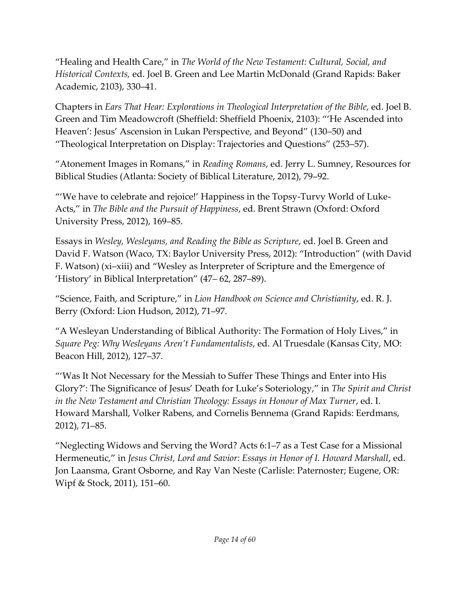"Healing and Health Care," in *The World of the New Testament: Cultural, Social, and Historical Contexts,* ed. Joel B. Green and Lee Martin McDonald (Grand Rapids: Baker Academic, 2103), 330–41.

Chapters in *Ears That Hear: Explorations in Theological Interpretation of the Bible*, ed. Joel B. Green and Tim Meadowcroft (Sheffield: Sheffield Phoenix, 2103): "'He Ascended into Heaven': Jesus' Ascension in Lukan Perspective, and Beyond" (130–50) and "Theological Interpretation on Display: Trajectories and Questions" (253–57).

"Atonement Images in Romans," in *Reading Romans*, ed. Jerry L. Sumney, Resources for Biblical Studies (Atlanta: Society of Biblical Literature, 2012), 79–92.

"'We have to celebrate and rejoice!' Happiness in the Topsy-Turvy World of Luke-Acts," in *The Bible and the Pursuit of Happiness*, ed. Brent Strawn (Oxford: Oxford University Press, 2012), 169–85.

Essays in *Wesley, Wesleyans, and Reading the Bible as Scripture*, ed. Joel B. Green and David F. Watson (Waco, TX: Baylor University Press, 2012): "Introduction" (with David F. Watson) (xi–xiii) and "Wesley as Interpreter of Scripture and the Emergence of 'History' in Biblical Interpretation" (47– 62, 287–89).

"Science, Faith, and Scripture," in *Lion Handbook on Science and Christianity*, ed. R. J. Berry (Oxford: Lion Hudson, 2012), 71–97.

"A Wesleyan Understanding of Biblical Authority: The Formation of Holy Lives," in *Square Peg: Why Wesleyans Aren't Fundamentalists*, ed. Al Truesdale (Kansas City, MO: Beacon Hill, 2012), 127–37.

"'Was It Not Necessary for the Messiah to Suffer These Things and Enter into His Glory?': The Significance of Jesus' Death for Luke's Soteriology," in *The Spirit and Christ in the New Testament and Christian Theology: Essays in Honour of Max Turner*, ed. I. Howard Marshall, Volker Rabens, and Cornelis Bennema (Grand Rapids: Eerdmans, 2012), 71–85.

"Neglecting Widows and Serving the Word? Acts 6:1–7 as a Test Case for a Missional Hermeneutic," in *Jesus Christ, Lord and Savior: Essays in Honor of I. Howard Marshall*, ed. Jon Laansma, Grant Osborne, and Ray Van Neste (Carlisle: Paternoster; Eugene, OR: Wipf & Stock, 2011), 151–60.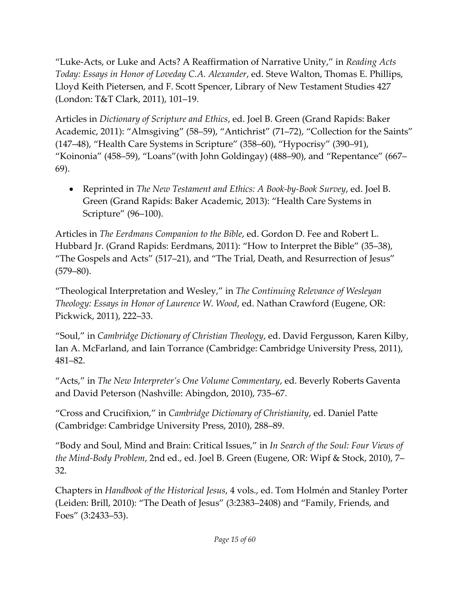"Luke-Acts, or Luke and Acts? A Reaffirmation of Narrative Unity," in *Reading Acts Today: Essays in Honor of Loveday C.A. Alexander*, ed. Steve Walton, Thomas E. Phillips, Lloyd Keith Pietersen, and F. Scott Spencer, Library of New Testament Studies 427 (London: T&T Clark, 2011), 101–19.

Articles in *Dictionary of Scripture and Ethics*, ed. Joel B. Green (Grand Rapids: Baker Academic, 2011): "Almsgiving" (58–59), "Antichrist" (71–72), "Collection for the Saints" (147–48), "Health Care Systems in Scripture" (358–60), "Hypocrisy" (390–91), "Koinonia" (458–59), "Loans"(with John Goldingay) (488–90), and "Repentance" (667– 69).

• Reprinted in *The New Testament and Ethics: A Book-by-Book Survey*, ed. Joel B. Green (Grand Rapids: Baker Academic, 2013): "Health Care Systems in Scripture" (96–100).

Articles in *The Eerdmans Companion to the Bible*, ed. Gordon D. Fee and Robert L. Hubbard Jr. (Grand Rapids: Eerdmans, 2011): "How to Interpret the Bible" (35–38), "The Gospels and Acts" (517–21), and "The Trial, Death, and Resurrection of Jesus"  $(579 - 80)$ .

"Theological Interpretation and Wesley," in *The Continuing Relevance of Wesleyan Theology: Essays in Honor of Laurence W. Wood*, ed. Nathan Crawford (Eugene, OR: Pickwick, 2011), 222–33.

"Soul," in *Cambridge Dictionary of Christian Theology*, ed. David Fergusson, Karen Kilby, Ian A. McFarland, and Iain Torrance (Cambridge: Cambridge University Press, 2011), 481–82.

"Acts," in *The New Interpreter's One Volume Commentary*, ed. Beverly Roberts Gaventa and David Peterson (Nashville: Abingdon, 2010), 735–67.

"Cross and Crucifixion," in *Cambridge Dictionary of Christianity*, ed. Daniel Patte (Cambridge: Cambridge University Press, 2010), 288–89.

"Body and Soul, Mind and Brain: Critical Issues," in *In Search of the Soul: Four Views of the Mind-Body Problem*, 2nd ed., ed. Joel B. Green (Eugene, OR: Wipf & Stock, 2010), 7– 32.

Chapters in *Handbook of the Historical Jesus*, 4 vols., ed. Tom Holmén and Stanley Porter (Leiden: Brill, 2010): "The Death of Jesus" (3:2383–2408) and "Family, Friends, and Foes" (3:2433–53).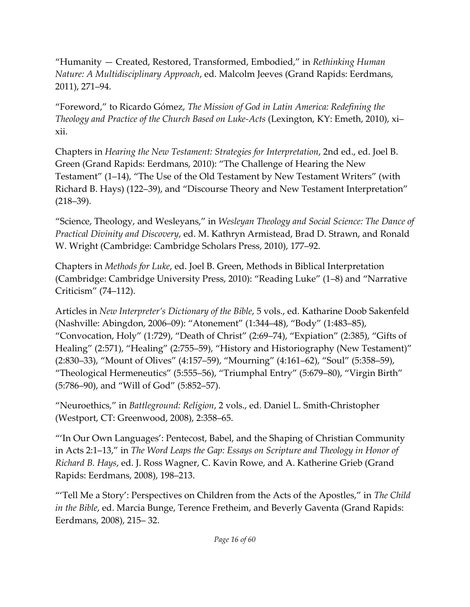"Humanity — Created, Restored, Transformed, Embodied," in *Rethinking Human Nature: A Multidisciplinary Approach*, ed. Malcolm Jeeves (Grand Rapids: Eerdmans, 2011), 271–94.

"Foreword," to Ricardo Gómez, *The Mission of God in Latin America: Redefining the Theology and Practice of the Church Based on Luke-Acts* (Lexington, KY: Emeth, 2010), xi– xii.

Chapters in *Hearing the New Testament: Strategies for Interpretation*, 2nd ed., ed. Joel B. Green (Grand Rapids: Eerdmans, 2010): "The Challenge of Hearing the New Testament" (1–14), "The Use of the Old Testament by New Testament Writers" (with Richard B. Hays) (122–39), and "Discourse Theory and New Testament Interpretation" (218–39).

"Science, Theology, and Wesleyans," in *Wesleyan Theology and Social Science: The Dance of Practical Divinity and Discovery*, ed. M. Kathryn Armistead, Brad D. Strawn, and Ronald W. Wright (Cambridge: Cambridge Scholars Press, 2010), 177–92.

Chapters in *Methods for Luke*, ed. Joel B. Green, Methods in Biblical Interpretation (Cambridge: Cambridge University Press, 2010): "Reading Luke" (1–8) and "Narrative Criticism" (74–112).

Articles in *New Interpreter's Dictionary of the Bible*, 5 vols., ed. Katharine Doob Sakenfeld (Nashville: Abingdon, 2006–09): "Atonement" (1:344–48), "Body" (1:483–85), "Convocation, Holy" (1:729), "Death of Christ" (2:69–74), "Expiation" (2:385), "Gifts of Healing" (2:571), "Healing" (2:755–59), "History and Historiography (New Testament)" (2:830–33), "Mount of Olives" (4:157–59), "Mourning" (4:161–62), "Soul" (5:358–59), "Theological Hermeneutics" (5:555–56), "Triumphal Entry" (5:679–80), "Virgin Birth" (5:786–90), and "Will of God" (5:852–57).

"Neuroethics," in *Battleground: Religion*, 2 vols., ed. Daniel L. Smith-Christopher (Westport, CT: Greenwood, 2008), 2:358–65.

"'In Our Own Languages': Pentecost, Babel, and the Shaping of Christian Community in Acts 2:1–13," in *The Word Leaps the Gap: Essays on Scripture and Theology in Honor of Richard B. Hays*, ed. J. Ross Wagner, C. Kavin Rowe, and A. Katherine Grieb (Grand Rapids: Eerdmans, 2008), 198–213.

"'Tell Me a Story': Perspectives on Children from the Acts of the Apostles," in *The Child in the Bible*, ed. Marcia Bunge, Terence Fretheim, and Beverly Gaventa (Grand Rapids: Eerdmans, 2008), 215– 32.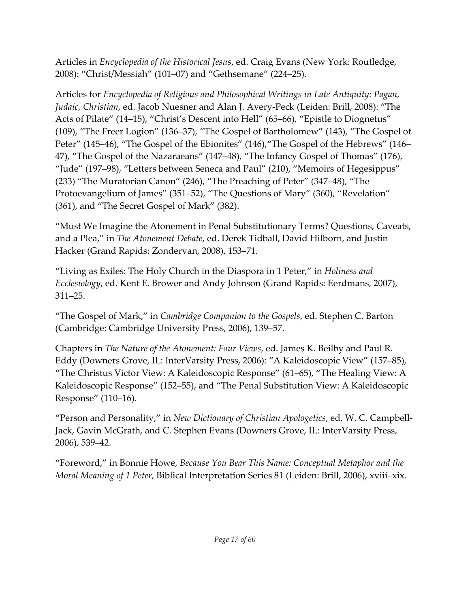Articles in *Encyclopedia of the Historical Jesus*, ed. Craig Evans (New York: Routledge, 2008): "Christ/Messiah" (101–07) and "Gethsemane" (224–25).

Articles for *Encyclopedia of Religious and Philosophical Writings in Late Antiquity: Pagan, Judaic, Christian,* ed. Jacob Nuesner and Alan J. Avery-Peck (Leiden: Brill, 2008): "The Acts of Pilate" (14–15), "Christ's Descent into Hell" (65–66), "Epistle to Diognetus" (109), "The Freer Logion" (136–37), "The Gospel of Bartholomew" (143), "The Gospel of Peter" (145–46), "The Gospel of the Ebionites" (146),"The Gospel of the Hebrews" (146– 47), "The Gospel of the Nazaraeans" (147–48), "The Infancy Gospel of Thomas" (176), "Jude" (197–98), "Letters between Seneca and Paul" (210), "Memoirs of Hegesippus" (233) "The Muratorian Canon" (246), "The Preaching of Peter" (347–48), "The Protoevangelium of James" (351–52), "The Questions of Mary" (360), "Revelation" (361), and "The Secret Gospel of Mark" (382).

"Must We Imagine the Atonement in Penal Substitutionary Terms? Questions, Caveats, and a Plea," in *The Atonement Debate*, ed. Derek Tidball, David Hilborn, and Justin Hacker (Grand Rapids: Zondervan, 2008), 153–71.

"Living as Exiles: The Holy Church in the Diaspora in 1 Peter," in *Holiness and Ecclesiology*, ed. Kent E. Brower and Andy Johnson (Grand Rapids: Eerdmans, 2007), 311–25.

"The Gospel of Mark," in *Cambridge Companion to the Gospels*, ed. Stephen C. Barton (Cambridge: Cambridge University Press, 2006), 139–57.

Chapters in *The Nature of the Atonement: Four Views*, ed. James K. Beilby and Paul R. Eddy (Downers Grove, IL: InterVarsity Press, 2006): "A Kaleidoscopic View" (157–85), "The Christus Victor View: A Kaleidoscopic Response" (61–65), "The Healing View: A Kaleidoscopic Response" (152–55), and "The Penal Substitution View: A Kaleidoscopic Response" (110–16).

"Person and Personality," in *New Dictionary of Christian Apologetics*, ed. W. C. Campbell-Jack, Gavin McGrath, and C. Stephen Evans (Downers Grove, IL: InterVarsity Press, 2006), 539–42.

"Foreword," in Bonnie Howe, *Because You Bear This Name: Conceptual Metaphor and the Moral Meaning of 1 Peter,* Biblical Interpretation Series 81 (Leiden: Brill, 2006), xviii–xix.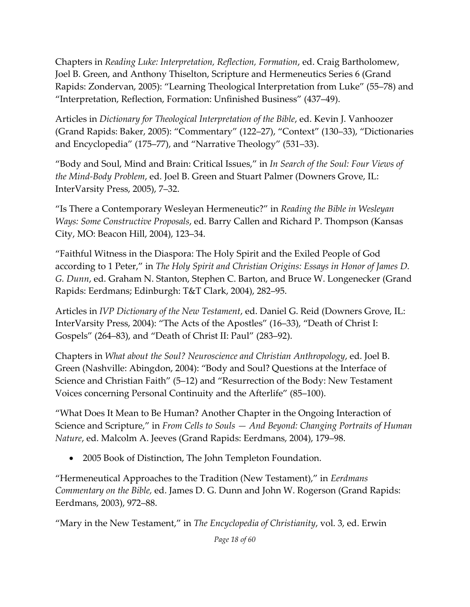Chapters in *Reading Luke: Interpretation, Reflection, Formation*, ed. Craig Bartholomew, Joel B. Green, and Anthony Thiselton, Scripture and Hermeneutics Series 6 (Grand Rapids: Zondervan, 2005): "Learning Theological Interpretation from Luke" (55–78) and "Interpretation, Reflection, Formation: Unfinished Business" (437–49).

Articles in *Dictionary for Theological Interpretation of the Bible*, ed. Kevin J. Vanhoozer (Grand Rapids: Baker, 2005): "Commentary" (122–27), "Context" (130–33), "Dictionaries and Encyclopedia" (175–77), and "Narrative Theology" (531–33).

"Body and Soul, Mind and Brain: Critical Issues," in *In Search of the Soul: Four Views of the Mind-Body Problem*, ed. Joel B. Green and Stuart Palmer (Downers Grove, IL: InterVarsity Press, 2005), 7–32.

"Is There a Contemporary Wesleyan Hermeneutic?" in *Reading the Bible in Wesleyan Ways: Some Constructive Proposals*, ed. Barry Callen and Richard P. Thompson (Kansas City, MO: Beacon Hill, 2004), 123–34.

"Faithful Witness in the Diaspora: The Holy Spirit and the Exiled People of God according to 1 Peter," in *The Holy Spirit and Christian Origins: Essays in Honor of James D. G. Dunn*, ed. Graham N. Stanton, Stephen C. Barton, and Bruce W. Longenecker (Grand Rapids: Eerdmans; Edinburgh: T&T Clark, 2004), 282–95.

Articles in *IVP Dictionary of the New Testament*, ed. Daniel G. Reid (Downers Grove, IL: InterVarsity Press, 2004): "The Acts of the Apostles" (16–33), "Death of Christ I: Gospels" (264–83), and "Death of Christ II: Paul" (283–92).

Chapters in *What about the Soul? Neuroscience and Christian Anthropology*, ed. Joel B. Green (Nashville: Abingdon, 2004): "Body and Soul? Questions at the Interface of Science and Christian Faith" (5–12) and "Resurrection of the Body: New Testament Voices concerning Personal Continuity and the Afterlife" (85–100).

"What Does It Mean to Be Human? Another Chapter in the Ongoing Interaction of Science and Scripture," in *From Cells to Souls — And Beyond: Changing Portraits of Human Nature*, ed. Malcolm A. Jeeves (Grand Rapids: Eerdmans, 2004), 179–98.

• 2005 Book of Distinction, The John Templeton Foundation.

"Hermeneutical Approaches to the Tradition (New Testament)," in *Eerdmans Commentary on the Bible,* ed. James D. G. Dunn and John W. Rogerson (Grand Rapids: Eerdmans, 2003), 972–88.

"Mary in the New Testament," in *The Encyclopedia of Christianity*, vol. 3, ed. Erwin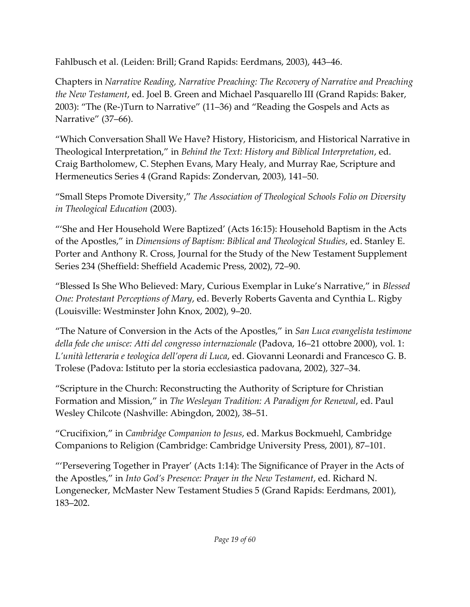Fahlbusch et al. (Leiden: Brill; Grand Rapids: Eerdmans, 2003), 443–46.

Chapters in *Narrative Reading, Narrative Preaching: The Recovery of Narrative and Preaching the New Testament*, ed. Joel B. Green and Michael Pasquarello III (Grand Rapids: Baker, 2003): "The (Re-)Turn to Narrative" (11–36) and "Reading the Gospels and Acts as Narrative" (37–66).

"Which Conversation Shall We Have? History, Historicism, and Historical Narrative in Theological Interpretation," in *Behind the Text: History and Biblical Interpretation*, ed. Craig Bartholomew, C. Stephen Evans, Mary Healy, and Murray Rae, Scripture and Hermeneutics Series 4 (Grand Rapids: Zondervan, 2003), 141–50.

"Small Steps Promote Diversity," *The Association of Theological Schools Folio on Diversity in Theological Education* (2003).

"'She and Her Household Were Baptized' (Acts 16:15): Household Baptism in the Acts of the Apostles," in *Dimensions of Baptism: Biblical and Theological Studies*, ed. Stanley E. Porter and Anthony R. Cross, Journal for the Study of the New Testament Supplement Series 234 (Sheffield: Sheffield Academic Press, 2002), 72–90.

"Blessed Is She Who Believed: Mary, Curious Exemplar in Luke's Narrative," in *Blessed One: Protestant Perceptions of Mary*, ed. Beverly Roberts Gaventa and Cynthia L. Rigby (Louisville: Westminster John Knox, 2002), 9–20.

"The Nature of Conversion in the Acts of the Apostles," in *San Luca evangelista testimone della fede che unisce: Atti del congresso internazionale* (Padova, 16–21 ottobre 2000), vol. 1: *L'unità letteraria e teologica dell'opera di Luca*, ed. Giovanni Leonardi and Francesco G. B. Trolese (Padova: Istituto per la storia ecclesiastica padovana, 2002), 327–34.

"Scripture in the Church: Reconstructing the Authority of Scripture for Christian Formation and Mission," in *The Wesleyan Tradition: A Paradigm for Renewal*, ed. Paul Wesley Chilcote (Nashville: Abingdon, 2002), 38–51.

"Crucifixion," in *Cambridge Companion to Jesus*, ed. Markus Bockmuehl, Cambridge Companions to Religion (Cambridge: Cambridge University Press, 2001), 87–101.

"'Persevering Together in Prayer' (Acts 1:14): The Significance of Prayer in the Acts of the Apostles," in *Into God's Presence: Prayer in the New Testament*, ed. Richard N. Longenecker, McMaster New Testament Studies 5 (Grand Rapids: Eerdmans, 2001), 183–202.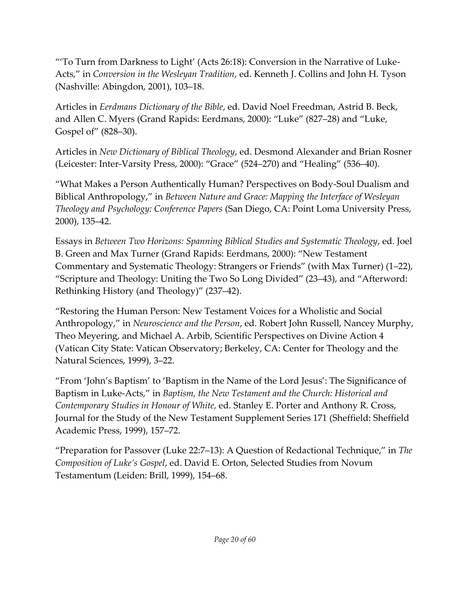"'To Turn from Darkness to Light' (Acts 26:18): Conversion in the Narrative of Luke-Acts," in *Conversion in the Wesleyan Tradition*, ed. Kenneth J. Collins and John H. Tyson (Nashville: Abingdon, 2001), 103–18.

Articles in *Eerdmans Dictionary of the Bible*, ed. David Noel Freedman, Astrid B. Beck, and Allen C. Myers (Grand Rapids: Eerdmans, 2000): "Luke" (827–28) and "Luke, Gospel of" (828–30).

Articles in *New Dictionary of Biblical Theology*, ed. Desmond Alexander and Brian Rosner (Leicester: Inter-Varsity Press, 2000): "Grace" (524–270) and "Healing" (536–40).

"What Makes a Person Authentically Human? Perspectives on Body-Soul Dualism and Biblical Anthropology," in *Between Nature and Grace: Mapping the Interface of Wesleyan Theology and Psychology: Conference Papers* (San Diego, CA: Point Loma University Press, 2000), 135–42.

Essays in *Between Two Horizons: Spanning Biblical Studies and Systematic Theology*, ed. Joel B. Green and Max Turner (Grand Rapids: Eerdmans, 2000): "New Testament Commentary and Systematic Theology: Strangers or Friends" (with Max Turner) (1–22), "Scripture and Theology: Uniting the Two So Long Divided" (23–43), and "Afterword: Rethinking History (and Theology)" (237–42).

"Restoring the Human Person: New Testament Voices for a Wholistic and Social Anthropology," in *Neuroscience and the Person*, ed. Robert John Russell, Nancey Murphy, Theo Meyering, and Michael A. Arbib, Scientific Perspectives on Divine Action 4 (Vatican City State: Vatican Observatory; Berkeley, CA: Center for Theology and the Natural Sciences, 1999), 3–22.

"From 'John's Baptism' to 'Baptism in the Name of the Lord Jesus': The Significance of Baptism in Luke-Acts," in *Baptism, the New Testament and the Church: Historical and Contemporary Studies in Honour of White,* ed. Stanley E. Porter and Anthony R. Cross, Journal for the Study of the New Testament Supplement Series 171 (Sheffield: Sheffield Academic Press, 1999), 157–72.

"Preparation for Passover (Luke 22:7–13): A Question of Redactional Technique," in *The Composition of Luke's Gospel*, ed. David E. Orton, Selected Studies from Novum Testamentum (Leiden: Brill, 1999), 154–68.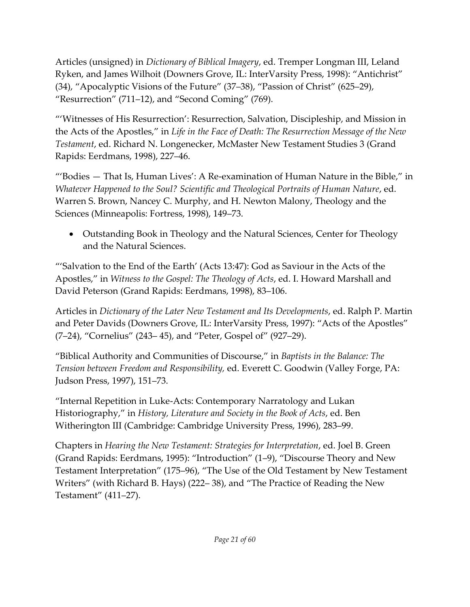Articles (unsigned) in *Dictionary of Biblical Imagery*, ed. Tremper Longman III, Leland Ryken, and James Wilhoit (Downers Grove, IL: InterVarsity Press, 1998): "Antichrist" (34), "Apocalyptic Visions of the Future" (37–38), "Passion of Christ" (625–29), "Resurrection" (711–12), and "Second Coming" (769).

"'Witnesses of His Resurrection': Resurrection, Salvation, Discipleship, and Mission in the Acts of the Apostles," in *Life in the Face of Death: The Resurrection Message of the New Testament*, ed. Richard N. Longenecker, McMaster New Testament Studies 3 (Grand Rapids: Eerdmans, 1998), 227–46.

"'Bodies  $-$  That Is, Human Lives': A Re-examination of Human Nature in the Bible," in *Whatever Happened to the Soul? Scientific and Theological Portraits of Human Nature*, ed. Warren S. Brown, Nancey C. Murphy, and H. Newton Malony, Theology and the Sciences (Minneapolis: Fortress, 1998), 149–73.

• Outstanding Book in Theology and the Natural Sciences, Center for Theology and the Natural Sciences.

"'Salvation to the End of the Earth' (Acts 13:47): God as Saviour in the Acts of the Apostles," in *Witness to the Gospel: The Theology of Acts*, ed. I. Howard Marshall and David Peterson (Grand Rapids: Eerdmans, 1998), 83–106.

Articles in *Dictionary of the Later New Testament and Its Developments*, ed. Ralph P. Martin and Peter Davids (Downers Grove, IL: InterVarsity Press, 1997): "Acts of the Apostles" (7–24), "Cornelius" (243– 45), and "Peter, Gospel of" (927–29).

"Biblical Authority and Communities of Discourse," in *Baptists in the Balance: The Tension between Freedom and Responsibility,* ed. Everett C. Goodwin (Valley Forge, PA: Judson Press, 1997), 151–73.

"Internal Repetition in Luke-Acts: Contemporary Narratology and Lukan Historiography," in *History, Literature and Society in the Book of Acts*, ed. Ben Witherington III (Cambridge: Cambridge University Press, 1996), 283–99.

Chapters in *Hearing the New Testament: Strategies for Interpretation*, ed. Joel B. Green (Grand Rapids: Eerdmans, 1995): "Introduction" (1–9), "Discourse Theory and New Testament Interpretation" (175–96), "The Use of the Old Testament by New Testament Writers" (with Richard B. Hays) (222– 38), and "The Practice of Reading the New Testament" (411–27).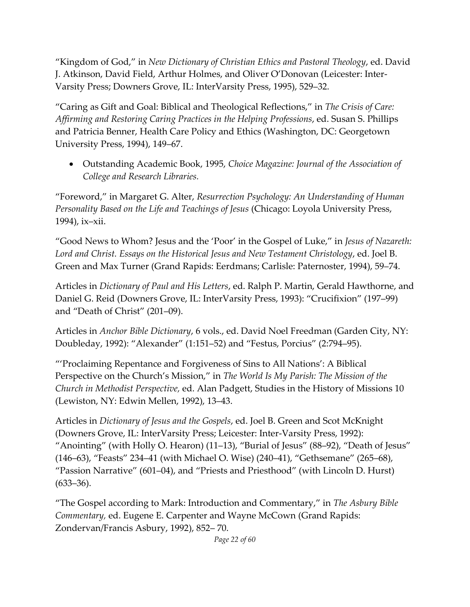"Kingdom of God," in *New Dictionary of Christian Ethics and Pastoral Theology*, ed. David J. Atkinson, David Field, Arthur Holmes, and Oliver O'Donovan (Leicester: Inter-Varsity Press; Downers Grove, IL: InterVarsity Press, 1995), 529–32.

"Caring as Gift and Goal: Biblical and Theological Reflections," in *The Crisis of Care: Affirming and Restoring Caring Practices in the Helping Professions*, ed. Susan S. Phillips and Patricia Benner, Health Care Policy and Ethics (Washington, DC: Georgetown University Press, 1994), 149–67.

• Outstanding Academic Book, 1995, *Choice Magazine: Journal of the Association of College and Research Libraries.*

"Foreword," in Margaret G. Alter, *Resurrection Psychology: An Understanding of Human Personality Based on the Life and Teachings of Jesus* (Chicago: Loyola University Press, 1994), ix–xii.

"Good News to Whom? Jesus and the 'Poor' in the Gospel of Luke," in *Jesus of Nazareth: Lord and Christ. Essays on the Historical Jesus and New Testament Christology*, ed. Joel B. Green and Max Turner (Grand Rapids: Eerdmans; Carlisle: Paternoster, 1994), 59–74.

Articles in *Dictionary of Paul and His Letters*, ed. Ralph P. Martin, Gerald Hawthorne, and Daniel G. Reid (Downers Grove, IL: InterVarsity Press, 1993): "Crucifixion" (197–99) and "Death of Christ" (201–09).

Articles in *Anchor Bible Dictionary*, 6 vols., ed. David Noel Freedman (Garden City, NY: Doubleday, 1992): "Alexander" (1:151–52) and "Festus, Porcius" (2:794–95).

"'Proclaiming Repentance and Forgiveness of Sins to All Nations': A Biblical Perspective on the Church's Mission," in *The World Is My Parish: The Mission of the Church in Methodist Perspective,* ed. Alan Padgett, Studies in the History of Missions 10 (Lewiston, NY: Edwin Mellen, 1992), 13–43.

Articles in *Dictionary of Jesus and the Gospels*, ed. Joel B. Green and Scot McKnight (Downers Grove, IL: InterVarsity Press; Leicester: Inter-Varsity Press, 1992): "Anointing" (with Holly O. Hearon) (11–13), "Burial of Jesus" (88–92), "Death of Jesus" (146–63), "Feasts" 234–41 (with Michael O. Wise) (240–41), "Gethsemane" (265–68), "Passion Narrative" (601–04), and "Priests and Priesthood" (with Lincoln D. Hurst)  $(633 - 36)$ .

"The Gospel according to Mark: Introduction and Commentary," in *The Asbury Bible Commentary,* ed. Eugene E. Carpenter and Wayne McCown (Grand Rapids: Zondervan/Francis Asbury, 1992), 852– 70.

*Page 22 of 60*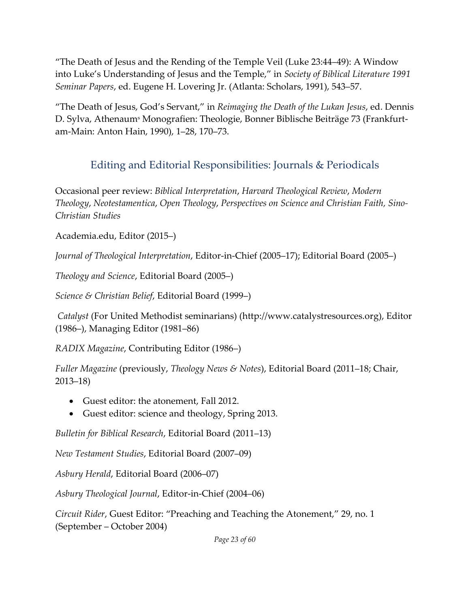"The Death of Jesus and the Rending of the Temple Veil (Luke 23:44–49): A Window into Luke's Understanding of Jesus and the Temple," in *Society of Biblical Literature 1991 Seminar Papers*, ed. Eugene H. Lovering Jr. (Atlanta: Scholars, 1991), 543–57.

"The Death of Jesus, God's Servant," in *Reimaging the Death of the Lukan Jesus*, ed. Dennis D. Sylva, Athenaum<sup>s</sup> Monografien: Theologie, Bonner Biblische Beiträge 73 (Frankfurtam-Main: Anton Hain, 1990), 1–28, 170–73.

## Editing and Editorial Responsibilities: Journals & Periodicals

Occasional peer review: *Biblical Interpretation*, *Harvard Theological Review*, *Modern Theology*, *Neotestamentica*, *Open Theology*, *Perspectives on Science and Christian Faith, Sino-Christian Studies*

Academia.edu, Editor (2015–)

*Journal of Theological Interpretation*, Editor-in-Chief (2005–17); Editorial Board (2005–)

*Theology and Science*, Editorial Board (2005–)

*Science & Christian Belief*, Editorial Board (1999–)

*Catalyst* (For United Methodist seminarians) (http://www.catalystresources.org), Editor (1986–), Managing Editor (1981–86)

*RADIX Magazine*, Contributing Editor (1986–)

*Fuller Magazine* (previously, *Theology News & Notes*), Editorial Board (2011–18; Chair, 2013–18)

- Guest editor: the atonement, Fall 2012.
- Guest editor: science and theology, Spring 2013.

*Bulletin for Biblical Research*, Editorial Board (2011–13)

*New Testament Studies*, Editorial Board (2007–09)

*Asbury Herald*, Editorial Board (2006–07)

*Asbury Theological Journal*, Editor-in-Chief (2004–06)

*Circuit Rider*, Guest Editor: "Preaching and Teaching the Atonement," 29, no. 1 (September – October 2004)

*Page 23 of 60*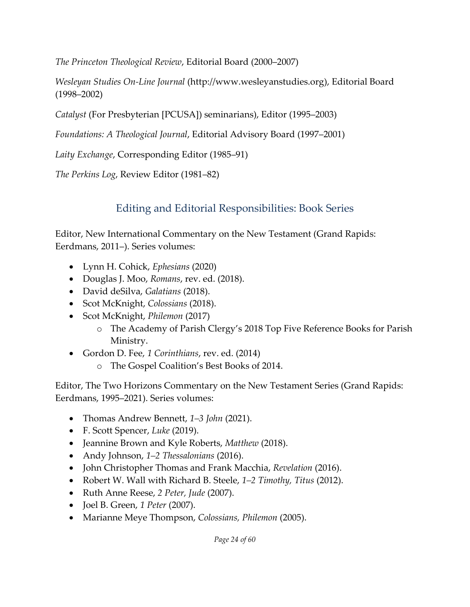*The Princeton Theological Review*, Editorial Board (2000–2007)

*Wesleyan Studies On-Line Journal* (http://www.wesleyanstudies.org), Editorial Board (1998–2002)

*Catalyst* (For Presbyterian [PCUSA]) seminarians), Editor (1995–2003)

*Foundations: A Theological Journal*, Editorial Advisory Board (1997–2001)

*Laity Exchange*, Corresponding Editor (1985–91)

*The Perkins Log*, Review Editor (1981–82)

## Editing and Editorial Responsibilities: Book Series

Editor, New International Commentary on the New Testament (Grand Rapids: Eerdmans, 2011–). Series volumes:

- Lynn H. Cohick, *Ephesians* (2020)
- Douglas J. Moo, *Romans*, rev. ed. (2018).
- David deSilva, *Galatians* (2018).
- Scot McKnight, *Colossians* (2018).
- Scot McKnight, *Philemon* (2017)
	- o The Academy of Parish Clergy's 2018 Top Five Reference Books for Parish Ministry.
- Gordon D. Fee, *1 Corinthians*, rev. ed. (2014)
	- o The Gospel Coalition's Best Books of 2014.

Editor, The Two Horizons Commentary on the New Testament Series (Grand Rapids: Eerdmans, 1995–2021). Series volumes:

- Thomas Andrew Bennett, *1–3 John* (2021).
- F. Scott Spencer, *Luke* (2019).
- Jeannine Brown and Kyle Roberts, *Matthew* (2018).
- Andy Johnson, *1–2 Thessalonians* (2016).
- John Christopher Thomas and Frank Macchia, *Revelation* (2016).
- Robert W. Wall with Richard B. Steele, *1–2 Timothy, Titus* (2012).
- Ruth Anne Reese, *2 Peter, Jude* (2007).
- Joel B. Green, *1 Peter* (2007).
- Marianne Meye Thompson, *Colossians, Philemon* (2005).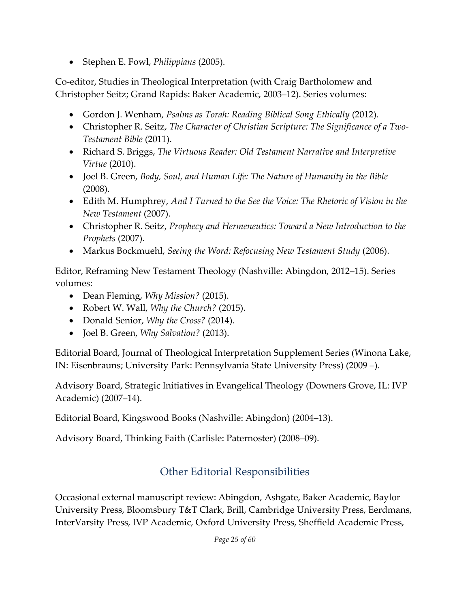• Stephen E. Fowl, *Philippians* (2005).

Co-editor, Studies in Theological Interpretation (with Craig Bartholomew and Christopher Seitz; Grand Rapids: Baker Academic, 2003–12). Series volumes:

- Gordon J. Wenham, *Psalms as Torah: Reading Biblical Song Ethically* (2012).
- Christopher R. Seitz, *The Character of Christian Scripture: The Significance of a Two-Testament Bible* (2011).
- Richard S. Briggs, *The Virtuous Reader: Old Testament Narrative and Interpretive Virtue* (2010).
- Joel B. Green, *Body, Soul, and Human Life: The Nature of Humanity in the Bible* (2008).
- Edith M. Humphrey, *And I Turned to the See the Voice: The Rhetoric of Vision in the New Testament* (2007).
- Christopher R. Seitz, *Prophecy and Hermeneutics: Toward a New Introduction to the Prophets* (2007).
- Markus Bockmuehl, *Seeing the Word: Refocusing New Testament Study* (2006).

Editor, Reframing New Testament Theology (Nashville: Abingdon, 2012–15). Series volumes:

- Dean Fleming, *Why Mission?* (2015).
- Robert W. Wall, *Why the Church?* (2015).
- Donald Senior, *Why the Cross?* (2014).
- Joel B. Green, *Why Salvation?* (2013).

Editorial Board, Journal of Theological Interpretation Supplement Series (Winona Lake, IN: Eisenbrauns; University Park: Pennsylvania State University Press) (2009 –).

Advisory Board, Strategic Initiatives in Evangelical Theology (Downers Grove, IL: IVP Academic) (2007–14).

Editorial Board, Kingswood Books (Nashville: Abingdon) (2004–13).

Advisory Board, Thinking Faith (Carlisle: Paternoster) (2008–09).

## Other Editorial Responsibilities

Occasional external manuscript review: Abingdon, Ashgate, Baker Academic, Baylor University Press, Bloomsbury T&T Clark, Brill, Cambridge University Press, Eerdmans, InterVarsity Press, IVP Academic, Oxford University Press, Sheffield Academic Press,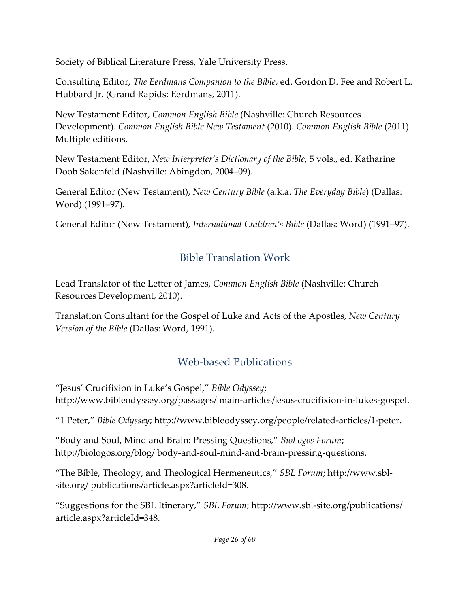Society of Biblical Literature Press, Yale University Press.

Consulting Editor, *The Eerdmans Companion to the Bible*, ed. Gordon D. Fee and Robert L. Hubbard Jr. (Grand Rapids: Eerdmans, 2011).

New Testament Editor, *Common English Bible* (Nashville: Church Resources Development). *Common English Bible New Testament* (2010). *Common English Bible* (2011). Multiple editions.

New Testament Editor, *New Interpreter's Dictionary of the Bible*, 5 vols., ed. Katharine Doob Sakenfeld (Nashville: Abingdon, 2004–09).

General Editor (New Testament), *New Century Bible* (a.k.a. *The Everyday Bible*) (Dallas: Word) (1991–97).

General Editor (New Testament), *International Children's Bible* (Dallas: Word) (1991–97).

## Bible Translation Work

Lead Translator of the Letter of James, *Common English Bible* (Nashville: Church Resources Development, 2010).

Translation Consultant for the Gospel of Luke and Acts of the Apostles, *New Century Version of the Bible* (Dallas: Word, 1991).

## Web-based Publications

"Jesus' Crucifixion in Luke's Gospel," *Bible Odyssey*[;](http://www.bibleodyssey.org/passages/)  <http://www.bibleodyssey.org/passages/> main-articles/jesus-crucifixion-in-lukes-gospel.

"1 Peter," *Bible Odyssey*[; http://www.bibleodyssey.org/people/related-articles/1-peter.](http://www.bibleodyssey.org/people/related-articles/1-peter)

"Body and Soul, Mind and Brain: Pressing Questions," *BioLogos Forum*[;](http://biologos.org/blog/)  <http://biologos.org/blog/> body-and-soul-mind-and-brain-pressing-questions.

"The Bible, Theology, and Theological Hermeneutics," *SBL Forum*[; http://www.sbl](http://www.sbl-site.org/)[site.org/](http://www.sbl-site.org/) publications/article.aspx?articleId=308.

"Suggestions for the SBL Itinerary," *SBL Forum*[; http://www.sbl-site.org/publications/](http://www.sbl-site.org/publications/) article.aspx?articleId=348.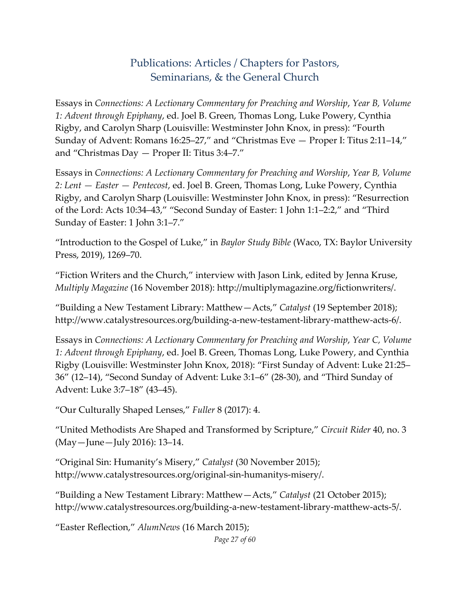### Publications: Articles / Chapters for Pastors, Seminarians, & the General Church

Essays in *Connections: A Lectionary Commentary for Preaching and Worship*, *Year B, Volume 1: Advent through Epiphany*, ed. Joel B. Green, Thomas Long, Luke Powery, Cynthia Rigby, and Carolyn Sharp (Louisville: Westminster John Knox, in press): "Fourth Sunday of Advent: Romans 16:25–27," and "Christmas Eve — Proper I: Titus 2:11–14," and "Christmas Day — Proper II: Titus 3:4–7."

Essays in *Connections: A Lectionary Commentary for Preaching and Worship*, *Year B, Volume 2: Lent — Easter — Pentecost*, ed. Joel B. Green, Thomas Long, Luke Powery, Cynthia Rigby, and Carolyn Sharp (Louisville: Westminster John Knox, in press): "Resurrection of the Lord: Acts 10:34–43," "Second Sunday of Easter: 1 John 1:1–2:2," and "Third Sunday of Easter: 1 John 3:1–7."

"Introduction to the Gospel of Luke," in *Baylor Study Bible* (Waco, TX: Baylor University Press, 2019), 1269–70.

"Fiction Writers and the Church," interview with Jason Link, edited by Jenna Kruse, *Multiply Magazine* (16 November 2018): http://multiplymagazine.org/fictionwriters/.

"Building a New Testament Library: Matthew—Acts," *Catalyst* (19 September 2018); http://www.catalystresources.org/building-a-new-testament-library-matthew-acts-6/.

Essays in *Connections: A Lectionary Commentary for Preaching and Worship*, *Year C, Volume 1: Advent through Epiphany*, ed. Joel B. Green, Thomas Long, Luke Powery, and Cynthia Rigby (Louisville: Westminster John Knox, 2018): "First Sunday of Advent: Luke 21:25– 36" (12–14), "Second Sunday of Advent: Luke 3:1–6" (28-30), and "Third Sunday of Advent: Luke 3:7–18" (43–45).

"Our Culturally Shaped Lenses," *Fuller* 8 (2017): 4.

"United Methodists Are Shaped and Transformed by Scripture," *Circuit Rider* 40, no. 3 (May—June—July 2016): 13–14.

"Original Sin: Humanity's Misery," *Catalyst* (30 November 2015); http://www.catalystresources.org/original-sin-humanitys-misery/.

"Building a New Testament Library: Matthew—Acts," *Catalyst* (21 October 2015); http://www.catalystresources.org/building-a-new-testament-library-matthew-acts-5/.

*Page 27 of 60* "Easter Reflection," *AlumNews* (16 March 2015);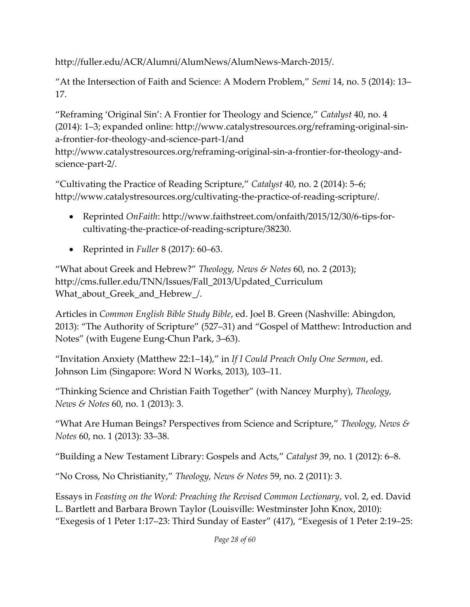http://fuller.edu/ACR/Alumni/AlumNews/AlumNews-March-2015/.

"At the Intersection of Faith and Science: A Modern Problem," *Semi* 14, no. 5 (2014): 13– 17.

"Reframing 'Original Sin': A Frontier for Theology and Science," *Catalyst* 40, no. 4 (2014): 1–3; expanded online: [http://www.catalystresources.org/reframing-original-sin](http://www.catalystresources.org/reframing-original-sin-a-frontier-for-theology-and-science-part-1/)[a-frontier-for-theology-and-science-part-1/a](http://www.catalystresources.org/reframing-original-sin-a-frontier-for-theology-and-science-part-1/)nd

[http://www.catalystresources.org/reframing-original-sin-a-frontier-for-theology-and](http://www.catalystresources.org/reframing-original-sin-a-frontier-for-theology-and-science-part-2/)[science-part-2/.](http://www.catalystresources.org/reframing-original-sin-a-frontier-for-theology-and-science-part-2/)

"Cultivating the Practice of Reading Scripture," *Catalyst* 40, no. 2 (2014): 5–6; [http://www.catalystresources.org/cultivating-the-practice-of-reading-scripture/.](http://www.catalystresources.org/cultivating-the-practice-of-reading-scripture/)

- Reprinted *OnFaith*: http://www.faithstreet.com/onfaith/2015/12/30/6-tips-forcultivating-the-practice-of-reading-scripture/38230.
- Reprinted in *Fuller* 8 (2017): 60–63.

"What about Greek and Hebrew?" *Theology, News & Notes* 60, no. 2 (2013); [http://cms.fuller.edu/TNN/Issues/Fall\\_2013/Updated\\_Curriculum](http://cms.fuller.edu/TNN/Issues/Fall_2013/Updated_Curriculum) What\_about\_Greek\_and\_Hebrew\_/.

Articles in *Common English Bible Study Bible*, ed. Joel B. Green (Nashville: Abingdon, 2013): "The Authority of Scripture" (527–31) and "Gospel of Matthew: Introduction and Notes" (with Eugene Eung-Chun Park, 3–63).

"Invitation Anxiety (Matthew 22:1–14)," in *If I Could Preach Only One Sermon*, ed. Johnson Lim (Singapore: Word N Works, 2013), 103–11.

"Thinking Science and Christian Faith Together" (with Nancey Murphy), *Theology, News & Notes* 60, no. 1 (2013): 3.

"What Are Human Beings? Perspectives from Science and Scripture," *Theology, News & Notes* 60, no. 1 (2013): 33–38.

"Building a New Testament Library: Gospels and Acts," *Catalyst* 39, no. 1 (2012): 6–8.

"No Cross, No Christianity," *Theology, News & Notes* 59, no. 2 (2011): 3.

Essays in *Feasting on the Word: Preaching the Revised Common Lectionary*, vol. 2, ed. David L. Bartlett and Barbara Brown Taylor (Louisville: Westminster John Knox, 2010): "Exegesis of 1 Peter 1:17–23: Third Sunday of Easter" (417), "Exegesis of 1 Peter 2:19–25: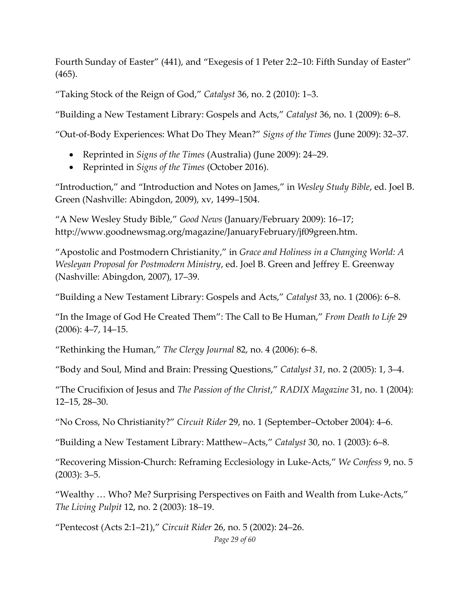Fourth Sunday of Easter" (441), and "Exegesis of 1 Peter 2:2–10: Fifth Sunday of Easter" (465).

"Taking Stock of the Reign of God," *Catalyst* 36, no. 2 (2010): 1–3.

"Building a New Testament Library: Gospels and Acts," *Catalyst* 36, no. 1 (2009): 6–8.

"Out-of-Body Experiences: What Do They Mean?" *Signs of the Times* (June 2009): 32–37.

- Reprinted in *Signs of the Times* (Australia) (June 2009): 24–29.
- Reprinted in *Signs of the Times* (October 2016).

"Introduction," and "Introduction and Notes on James," in *Wesley Study Bible*, ed. Joel B. Green (Nashville: Abingdon, 2009), xv, 1499–1504.

"A New Wesley Study Bible," *Good News* (January/February 2009): 16–17[;](http://www.goodnewsmag.org/magazine/JanuaryFebruary/jf09green.htm) [http://www.goodnewsmag.org/magazine/JanuaryFebruary/jf09green.htm.](http://www.goodnewsmag.org/magazine/JanuaryFebruary/jf09green.htm)

"Apostolic and Postmodern Christianity," in *Grace and Holiness in a Changing World: A Wesleyan Proposal for Postmodern Ministry*, ed. Joel B. Green and Jeffrey E. Greenway (Nashville: Abingdon, 2007), 17–39.

"Building a New Testament Library: Gospels and Acts," *Catalyst* 33, no. 1 (2006): 6–8.

"In the Image of God He Created Them": The Call to Be Human," *From Death to Life* 29 (2006): 4–7, 14–15.

"Rethinking the Human," *The Clergy Journal* 82, no. 4 (2006): 6–8.

"Body and Soul, Mind and Brain: Pressing Questions," *Catalyst 31*, no. 2 (2005): 1, 3–4.

"The Crucifixion of Jesus and *The Passion of the Christ*," *RADIX Magazine* 31, no. 1 (2004): 12–15, 28–30.

"No Cross, No Christianity?" *Circuit Rider* 29, no. 1 (September–October 2004): 4–6.

"Building a New Testament Library: Matthew–Acts," *Catalyst* 30, no. 1 (2003): 6–8.

"Recovering Mission-Church: Reframing Ecclesiology in Luke-Acts," *We Confess* 9, no. 5 (2003): 3–5.

"Wealthy … Who? Me? Surprising Perspectives on Faith and Wealth from Luke-Acts," *The Living Pulpit* 12, no. 2 (2003): 18–19.

"Pentecost (Acts 2:1–21)," *Circuit Rider* 26, no. 5 (2002): 24–26.

*Page 29 of 60*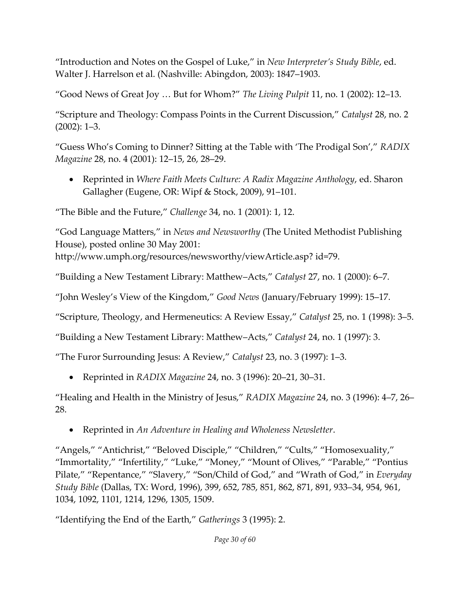"Introduction and Notes on the Gospel of Luke," in *New Interpreter's Study Bible*, ed. Walter J. Harrelson et al. (Nashville: Abingdon, 2003): 1847–1903.

"Good News of Great Joy … But for Whom?" *The Living Pulpit* 11, no. 1 (2002): 12–13.

"Scripture and Theology: Compass Points in the Current Discussion," *Catalyst* 28, no. 2 (2002): 1–3.

"Guess Who's Coming to Dinner? Sitting at the Table with 'The Prodigal Son'," *RADIX Magazine* 28, no. 4 (2001): 12–15, 26, 28–29.

• Reprinted in *Where Faith Meets Culture: A Radix Magazine Anthology*, ed. Sharon Gallagher (Eugene, OR: Wipf & Stock, 2009), 91–101.

"The Bible and the Future," *Challenge* 34, no. 1 (2001): 1, 12.

"God Language Matters," in *News and Newsworthy* (The United Methodist Publishing House), posted [online 30 May 2001:](http://www.umph.org/resources/newsworthy/viewArticle.asp)  [http://www.umph.org/resources/newsworthy/viewArticle.asp? i](http://www.umph.org/resources/newsworthy/viewArticle.asp)d=79.

"Building a New Testament Library: Matthew–Acts," *Catalyst* 27, no. 1 (2000): 6–7.

"John Wesley's View of the Kingdom," *Good News* (January/February 1999): 15–17.

"Scripture, Theology, and Hermeneutics: A Review Essay," *Catalyst* 25, no. 1 (1998): 3–5.

"Building a New Testament Library: Matthew–Acts," *Catalyst* 24, no. 1 (1997): 3.

"The Furor Surrounding Jesus: A Review," *Catalyst* 23, no. 3 (1997): 1–3.

• Reprinted in *RADIX Magazine* 24, no. 3 (1996): 20–21, 30–31.

"Healing and Health in the Ministry of Jesus," *RADIX Magazine* 24, no. 3 (1996): 4–7, 26– 28.

• Reprinted in *An Adventure in Healing and Wholeness Newsletter*.

"Angels," "Antichrist," "Beloved Disciple," "Children," "Cults," "Homosexuality," "Immortality," "Infertility," "Luke," "Money," "Mount of Olives," "Parable," "Pontius Pilate," "Repentance," "Slavery," "Son/Child of God," and "Wrath of God," in *Everyday Study Bible* (Dallas, TX: Word, 1996), 399, 652, 785, 851, 862, 871, 891, 933–34, 954, 961, 1034, 1092, 1101, 1214, 1296, 1305, 1509.

"Identifying the End of the Earth," *Gatherings* 3 (1995): 2.

*Page 30 of 60*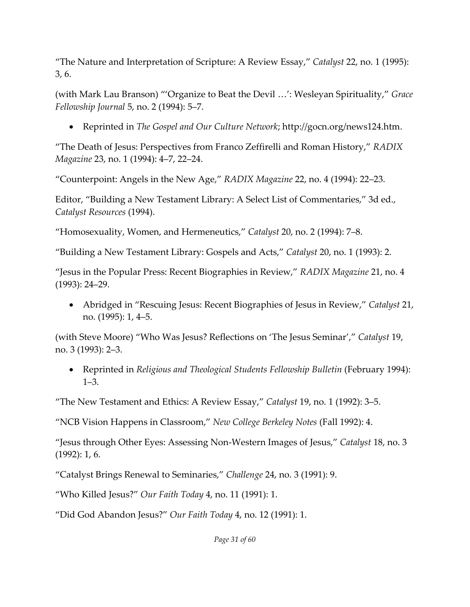"The Nature and Interpretation of Scripture: A Review Essay," *Catalyst* 22, no. 1 (1995): 3, 6.

(with Mark Lau Branson) "'Organize to Beat the Devil …': Wesleyan Spirituality," *Grace Fellowship Journal* 5, no. 2 (1994): 5–7.

• Reprinted in *The Gospel and Our Culture Network*[; http://gocn.org/news124.htm.](http://gocn.org/news124.htm)

"The Death of Jesus: Perspectives from Franco Zeffirelli and Roman History," *RADIX Magazine* 23, no. 1 (1994): 4–7, 22–24.

"Counterpoint: Angels in the New Age," *RADIX Magazine* 22, no. 4 (1994): 22–23.

Editor, "Building a New Testament Library: A Select List of Commentaries," 3d ed., *Catalyst Resources* (1994).

"Homosexuality, Women, and Hermeneutics," *Catalyst* 20, no. 2 (1994): 7–8.

"Building a New Testament Library: Gospels and Acts," *Catalyst* 20, no. 1 (1993): 2.

"Jesus in the Popular Press: Recent Biographies in Review," *RADIX Magazine* 21, no. 4 (1993): 24–29.

• Abridged in "Rescuing Jesus: Recent Biographies of Jesus in Review," *Catalyst* 21, no. (1995): 1, 4–5.

(with Steve Moore) "Who Was Jesus? Reflections on 'The Jesus Seminar'," *Catalyst* 19, no. 3 (1993): 2–3.

• Reprinted in *Religious and Theological Students Fellowship Bulletin* (February 1994): 1–3.

"The New Testament and Ethics: A Review Essay," *Catalyst* 19, no. 1 (1992): 3–5.

"NCB Vision Happens in Classroom," *New College Berkeley Notes* (Fall 1992): 4.

"Jesus through Other Eyes: Assessing Non-Western Images of Jesus," *Catalyst* 18, no. 3 (1992): 1, 6.

"Catalyst Brings Renewal to Seminaries," *Challenge* 24, no. 3 (1991): 9.

"Who Killed Jesus?" *Our Faith Today* 4, no. 11 (1991): 1.

"Did God Abandon Jesus?" *Our Faith Today* 4, no. 12 (1991): 1.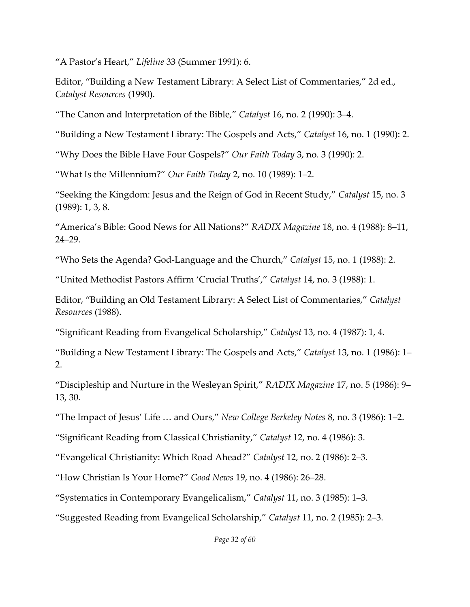"A Pastor's Heart," *Lifeline* 33 (Summer 1991): 6.

Editor, "Building a New Testament Library: A Select List of Commentaries," 2d ed., *Catalyst Resources* (1990).

"The Canon and Interpretation of the Bible," *Catalyst* 16, no. 2 (1990): 3–4.

"Building a New Testament Library: The Gospels and Acts," *Catalyst* 16, no. 1 (1990): 2.

"Why Does the Bible Have Four Gospels?" *Our Faith Today* 3, no. 3 (1990): 2.

"What Is the Millennium?" *Our Faith Today* 2, no. 10 (1989): 1–2.

"Seeking the Kingdom: Jesus and the Reign of God in Recent Study," *Catalyst* 15, no. 3 (1989): 1, 3, 8.

"America's Bible: Good News for All Nations?" *RADIX Magazine* 18, no. 4 (1988): 8–11, 24–29.

"Who Sets the Agenda? God-Language and the Church," *Catalyst* 15, no. 1 (1988): 2.

"United Methodist Pastors Affirm 'Crucial Truths'," *Catalyst* 14, no. 3 (1988): 1.

Editor, "Building an Old Testament Library: A Select List of Commentaries," *Catalyst Resources* (1988).

"Significant Reading from Evangelical Scholarship," *Catalyst* 13, no. 4 (1987): 1, 4.

"Building a New Testament Library: The Gospels and Acts," *Catalyst* 13, no. 1 (1986): 1– 2.

"Discipleship and Nurture in the Wesleyan Spirit," *RADIX Magazine* 17, no. 5 (1986): 9– 13, 30.

"The Impact of Jesus' Life … and Ours," *New College Berkeley Notes* 8, no. 3 (1986): 1–2.

"Significant Reading from Classical Christianity," *Catalyst* 12, no. 4 (1986): 3.

"Evangelical Christianity: Which Road Ahead?" *Catalyst* 12, no. 2 (1986): 2–3.

"How Christian Is Your Home?" *Good News* 19, no. 4 (1986): 26–28.

"Systematics in Contemporary Evangelicalism," *Catalyst* 11, no. 3 (1985): 1–3.

"Suggested Reading from Evangelical Scholarship," *Catalyst* 11, no. 2 (1985): 2–3.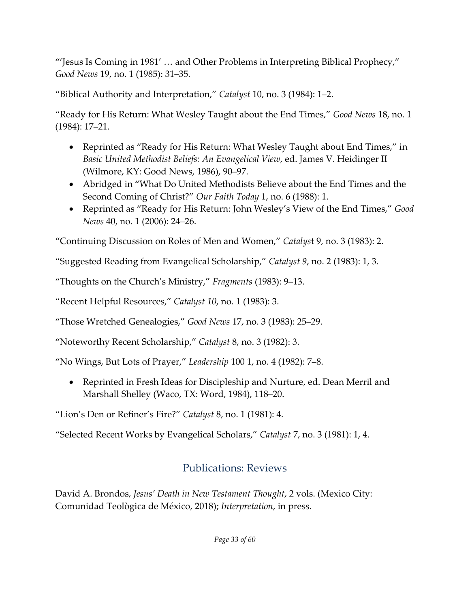"'Jesus Is Coming in 1981' … and Other Problems in Interpreting Biblical Prophecy," *Good News* 19, no. 1 (1985): 31–35.

"Biblical Authority and Interpretation," *Catalyst* 10, no. 3 (1984): 1–2.

"Ready for His Return: What Wesley Taught about the End Times," *Good News* 18, no. 1 (1984): 17–21.

- Reprinted as "Ready for His Return: What Wesley Taught about End Times," in *Basic United Methodist Beliefs: An Evangelical View*, ed. James V. Heidinger II (Wilmore, KY: Good News, 1986), 90–97.
- Abridged in "What Do United Methodists Believe about the End Times and the Second Coming of Christ?" *Our Faith Today* 1, no. 6 (1988): 1.
- Reprinted as "Ready for His Return: John Wesley's View of the End Times," *Good News* 40, no. 1 (2006): 24–26.

"Continuing Discussion on Roles of Men and Women," *Catalys*t 9, no. 3 (1983): 2.

"Suggested Reading from Evangelical Scholarship," *Catalyst 9*, no. 2 (1983): 1, 3.

"Thoughts on the Church's Ministry," *Fragments* (1983): 9–13.

"Recent Helpful Resources," *Catalyst 10*, no. 1 (1983): 3.

"Those Wretched Genealogies," *Good News* 17, no. 3 (1983): 25–29.

"Noteworthy Recent Scholarship," *Catalyst* 8, no. 3 (1982): 3.

"No Wings, But Lots of Prayer," *Leadership* 100 1, no. 4 (1982): 7–8.

• Reprinted in Fresh Ideas for Discipleship and Nurture, ed. Dean Merril and Marshall Shelley (Waco, TX: Word, 1984), 118–20.

"Lion's Den or Refiner's Fire?" *Catalyst* 8, no. 1 (1981): 4.

"Selected Recent Works by Evangelical Scholars," *Catalyst* 7, no. 3 (1981): 1, 4.

# Publications: Reviews

David A. Brondos, *Jesus' Death in New Testament Thought*, 2 vols. (Mexico City: Comunidad Teològica de México, 2018); *Interpretation*, in press.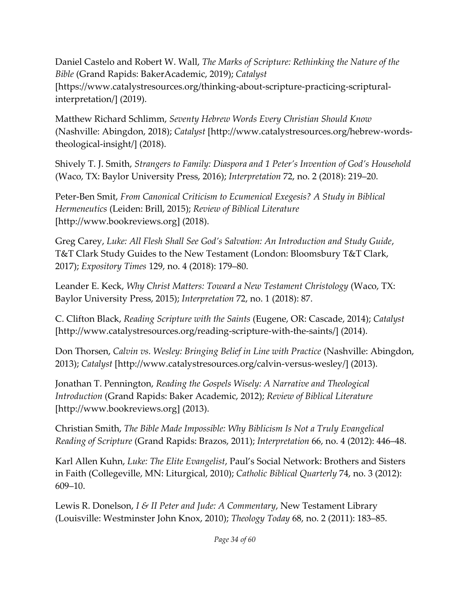Daniel Castelo and Robert W. Wall, *The Marks of Scripture: Rethinking the Nature of the Bible* (Grand Rapids: BakerAcademic, 2019); *Catalyst* [https://www.catalystresources.org/thinking-about-scripture-practicing-scripturalinterpretation/] (2019).

Matthew Richard Schlimm, *Seventy Hebrew Words Every Christian Should Know* (Nashville: Abingdon, 2018); *Catalyst* [http://www.catalystresources.org/hebrew-wordstheological-insight/] (2018).

Shively T. J. Smith, *Strangers to Family: Diaspora and 1 Peter's Invention of God's Household* (Waco, TX: Baylor University Press, 2016); *Interpretation* 72, no. 2 (2018): 219–20.

Peter-Ben Smit, *From Canonical Criticism to Ecumenical Exegesis? A Study in Biblical Hermeneutics* (Leiden: Brill, 2015); *Review of Biblical Literature* [http://www.bookreviews.org] (2018).

Greg Carey, *Luke: All Flesh Shall See God's Salvation: An Introduction and Study Guide*, T&T Clark Study Guides to the New Testament (London: Bloomsbury T&T Clark, 2017); *Expository Times* 129, no. 4 (2018): 179–80.

Leander E. Keck, *Why Christ Matters: Toward a New Testament Christology* (Waco, TX: Baylor University Press, 2015); *Interpretation* 72, no. 1 (2018): 87.

C. Clifton Black, *Reading Scripture with the Saints* (Eugene, OR: Cascade, 2014); *Catalyst* [http://www.catalystresources.org/reading-scripture-with-the-saints/] (2014).

Don Thorsen, *Calvin vs. Wesley: Bringing Belief in Line with Practice* (Nashville: Abingdon, 2013); *Catalyst* [\[http://www.catalystresources.org/calvin-versus-wesley/\] \(](http://www.catalystresources.org/calvin-versus-wesley/)2013).

Jonathan T. Pennington, *Reading the Gospels Wisely: A Narrative and Theological Introduction* (Grand Rapids: Baker Academic, 2012); *Review of Biblical Literature* [\[http://www.bookreviews.org\] \(](http://www.bookreviews.org/)2013).

Christian Smith, *The Bible Made Impossible: Why Biblicism Is Not a Truly Evangelical Reading of Scripture* (Grand Rapids: Brazos, 2011); *Interpretation* 66, no. 4 (2012): 446–48.

Karl Allen Kuhn, *Luke: The Elite Evangelist*, Paul's Social Network: Brothers and Sisters in Faith (Collegeville, MN: Liturgical, 2010); *Catholic Biblical Quarterly* 74, no. 3 (2012): 609–10.

Lewis R. Donelson, *I & II Peter and Jude: A Commentary*, New Testament Library (Louisville: Westminster John Knox, 2010); *Theology Today* 68, no. 2 (2011): 183–85.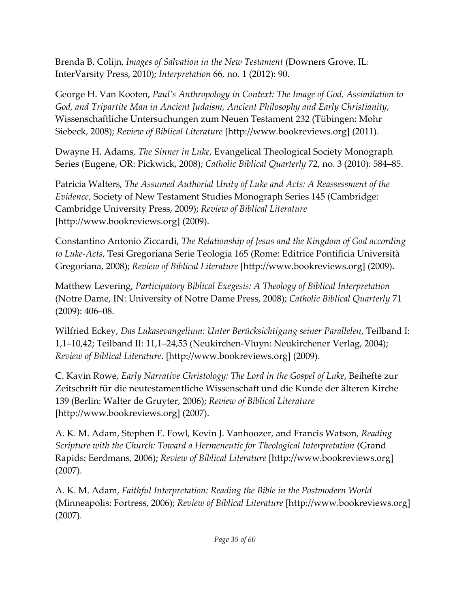Brenda B. Colijn, *Images of Salvation in the New Testament* (Downers Grove, IL: InterVarsity Press, 2010); *Interpretation* 66, no. 1 (2012): 90.

George H. Van Kooten, *Paul's Anthropology in Context: The Image of God, Assimilation to God, and Tripartite Man in Ancient Judaism, Ancient Philosophy and Early Christianity*, Wissenschaftliche Untersuchungen zum Neuen Testament 232 (Tübingen: Mohr Siebeck, 2008); *Review of Biblical Literature* [\[http://www.bookreviews.org\] \(](http://www.bookreviews.org/)2011).

Dwayne H. Adams, *The Sinner in Luke*, Evangelical Theological Society Monograph Series (Eugene, OR: Pickwick, 2008); *Catholic Biblical Quarterly* 72, no. 3 (2010): 584–85.

Patricia Walters, *The Assumed Authorial Unity of Luke and Acts: A Reassessment of the Evidence*, Society of New Testament Studies Monograph Series 145 (Cambridge: Cambridge University Press, 2009); *Review of Biblical Literature* [\[http://www.bookreviews.org\] \(](http://www.bookreviews.org/)2009).

Constantino Antonio Ziccardi, *The Relationship of Jesus and the Kingdom of God according to Luke-Acts*, Tesi Gregoriana Serie Teologia 165 (Rome: Editrice Pontificia Università Gregoriana, 2008); *Review of Biblical Literature* [\[http://www.bookreviews.org\] \(](http://www.bookreviews.org/)2009).

Matthew Levering, *Participatory Biblical Exegesis: A Theology of Biblical Interpretation* (Notre Dame, IN: University of Notre Dame Press, 2008); *Catholic Biblical Quarterly* 71 (2009): 406–08.

Wilfried Eckey, *Das Lukasevangelium: Unter Berücksichtigung seiner Parallelen*, Teilband I: 1,1–10,42; Teilband II: 11,1–24,53 (Neukirchen-Vluyn: Neukirchener Verlag, 2004); *Review of Biblical Literature*. [\[http://www.bookreviews.org\] \(](http://www.bookreviews.org/)2009).

C. Kavin Rowe, *Early Narrative Christology: The Lord in the Gospel of Luke*, Beihefte zur Zeitschrift für die neutestamentliche Wissenschaft und die Kunde der älteren Kirche 139 (Berlin: Walter de Gruyter, 2006); *Review of Biblical Literature* [\[http://www.bookreviews.org\] \(](http://www.bookreviews.org/)2007).

A. K. M. Adam, Stephen E. Fowl, Kevin J. Vanhoozer, and Francis Watson, *Reading Scripture with the Church: Toward a Hermeneutic for Theological Interpretation (Grand* Rapids: Eerdmans, 2006); *Review of Biblical Literature* [\[http://www.bookreviews.org\]](http://www.bookreviews.org/)  (2007).

A. K. M. Adam, *Faithful Interpretation: Reading the Bible in the Postmodern World* (Minneapolis: Fortress, 2006); *Review of Biblical Literature* [\[http://www.bookreviews.org\]](http://www.bookreviews.org/)  (2007).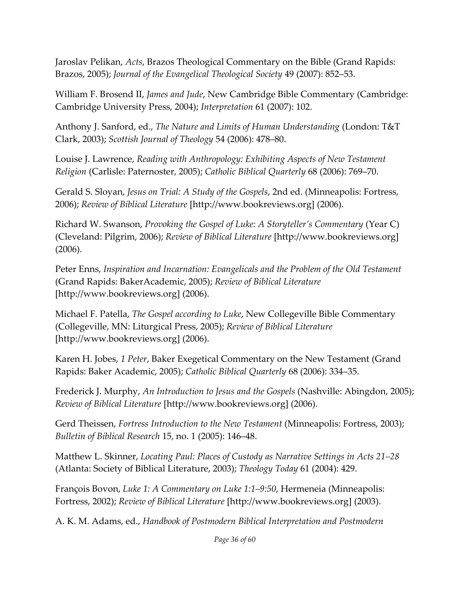Jaroslav Pelikan, *Acts*, Brazos Theological Commentary on the Bible (Grand Rapids: Brazos, 2005); *Journal of the Evangelical Theological Society* 49 (2007): 852–53.

William F. Brosend II, *James and Jude*, New Cambridge Bible Commentary (Cambridge: Cambridge University Press, 2004); *Interpretation* 61 (2007): 102.

Anthony J. Sanford, ed., *The Nature and Limits of Human Understanding* (London: T&T Clark, 2003); *Scottish Journal of Theology* 54 (2006): 478–80.

Louise J. Lawrence, *Reading with Anthropology: Exhibiting Aspects of New Testament Religion* (Carlisle: Paternoster, 2005); *Catholic Biblical Quarterly* 68 (2006): 769–70.

Gerald S. Sloyan, *Jesus on Trial: A Study of the Gospels*, 2nd ed. (Minneapolis: Fortress, 2006); *Review of Biblical Literature* [\[http://www.bookreviews.org\] \(](http://www.bookreviews.org/)2006).

Richard W. Swanson, *Provoking the Gospel of Luke: A Storyteller's Commentary* (Year C) (Cleveland: Pilgrim, 2006); *Review of Biblical Literature* [\[http://www.bookreviews.org\]](http://www.bookreviews.org/)  (2006).

Peter Enns, *Inspiration and Incarnation: Evangelicals and the Problem of the Old Testament* (Grand Rapids: BakerAcademic, 2005); *Review of Biblical Literature* [\[http://www.bookreviews.org\] \(](http://www.bookreviews.org/)2006).

Michael F. Patella, *The Gospel according to Luke*, New Collegeville Bible Commentary (Collegeville, MN: Liturgical Press, 2005); *Review of Biblical Literature* [\[http://www.bookreviews.org\] \(](http://www.bookreviews.org/)2006).

Karen H. Jobes, *1 Peter*, Baker Exegetical Commentary on the New Testament (Grand Rapids: Baker Academic, 2005); *Catholic Biblical Quarterly* 68 (2006): 334–35.

Frederick J. Murphy, *An Introduction to Jesus and the Gospels* (Nashville: Abingdon, 2005); *Review of Biblical Literature* [\[http://www.bookreviews.org\] \(](http://www.bookreviews.org/)2006).

Gerd Theissen, *Fortress Introduction to the New Testament* (Minneapolis: Fortress, 2003); *Bulletin of Biblical Research* 15, no. 1 (2005): 146–48.

Matthew L. Skinner, *Locating Paul: Places of Custody as Narrative Settings in Acts 21–28* (Atlanta: Society of Biblical Literature, 2003); *Theology Today* 61 (2004): 429.

François Bovon, *Luke 1: A Commentary on Luke 1:1–9:50*, Hermeneia (Minneapolis: Fortress, 2002); *Review of Biblical Literature* [\[http://www.bookreviews.org\] \(](http://www.bookreviews.org/)2003).

A. K. M. Adams, ed., *Handbook of Postmodern Biblical Interpretation and Postmodern* 

*Page 36 of 60*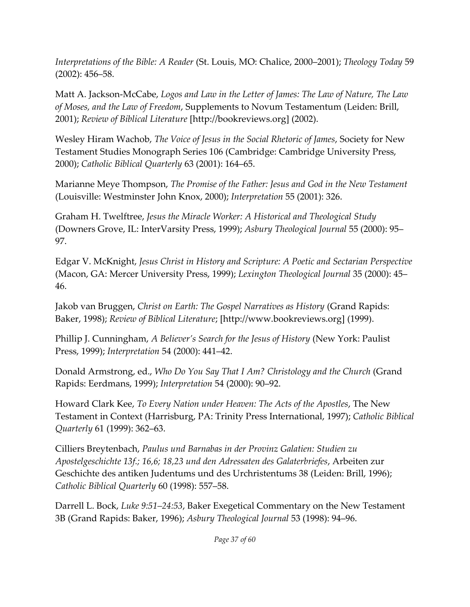*Interpretations of the Bible: A Reader* (St. Louis, MO: Chalice, 2000–2001); *Theology Today* 59 (2002): 456–58.

Matt A. Jackson-McCabe, *Logos and Law in the Letter of James: The Law of Nature, The Law of Moses, and the Law of Freedom*, Supplements to Novum Testamentum (Leiden: Brill, 2001); *Review of Biblical Literature* [\[http://bookreviews.org\] \(](http://bookreviews.org/)2002).

Wesley Hiram Wachob, *The Voice of Jesus in the Social Rhetoric of James*, Society for New Testament Studies Monograph Series 106 (Cambridge: Cambridge University Press, 2000); *Catholic Biblical Quarterly* 63 (2001): 164–65.

Marianne Meye Thompson, *The Promise of the Father: Jesus and God in the New Testament* (Louisville: Westminster John Knox, 2000); *Interpretation* 55 (2001): 326.

Graham H. Twelftree, *Jesus the Miracle Worker: A Historical and Theological Study* (Downers Grove, IL: InterVarsity Press, 1999); *Asbury Theological Journal* 55 (2000): 95– 97.

Edgar V. McKnight, *Jesus Christ in History and Scripture: A Poetic and Sectarian Perspective* (Macon, GA: Mercer University Press, 1999); *Lexington Theological Journal* 35 (2000): 45– 46.

Jakob van Bruggen, *Christ on Earth: The Gospel Narratives as History* (Grand Rapids: Baker, 1998); *Review of Biblical Literature*[; \[http://www.bookreviews.org\] \(](http://www.bookreviews.org/)1999).

Phillip J. Cunningham, *A Believer's Search for the Jesus of History* (New York: Paulist Press, 1999); *Interpretation* 54 (2000): 441–42.

Donald Armstrong, ed., *Who Do You Say That I Am? Christology and the Church* (Grand Rapids: Eerdmans, 1999); *Interpretation* 54 (2000): 90–92.

Howard Clark Kee, *To Every Nation under Heaven: The Acts of the Apostles*, The New Testament in Context (Harrisburg, PA: Trinity Press International, 1997); *Catholic Biblical Quarterly* 61 (1999): 362–63.

Cilliers Breytenbach, *Paulus und Barnabas in der Provinz Galatien: Studien zu Apostelgeschichte 13f.; 16,6; 18,23 und den Adressaten des Galaterbriefes*, Arbeiten zur Geschichte des antiken Judentums und des Urchristentums 38 (Leiden: Brill, 1996); *Catholic Biblical Quarterly* 60 (1998): 557–58.

Darrell L. Bock, *Luke 9:51–24:53*, Baker Exegetical Commentary on the New Testament 3B (Grand Rapids: Baker, 1996); *Asbury Theological Journal* 53 (1998): 94–96.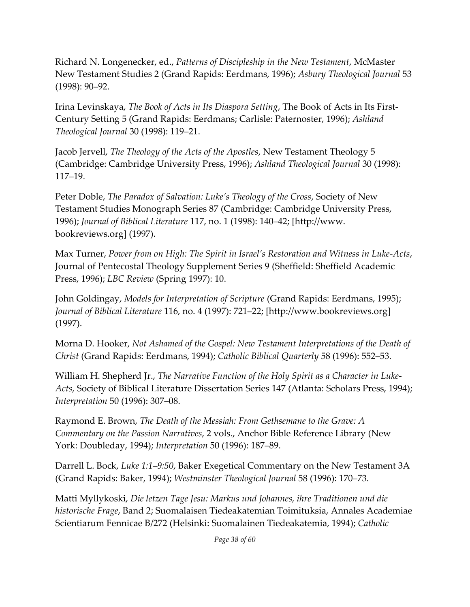Richard N. Longenecker, ed., *Patterns of Discipleship in the New Testament*, McMaster New Testament Studies 2 (Grand Rapids: Eerdmans, 1996); *Asbury Theological Journal* 53 (1998): 90–92.

Irina Levinskaya, *The Book of Acts in Its Diaspora Setting*, The Book of Acts in Its First-Century Setting 5 (Grand Rapids: Eerdmans; Carlisle: Paternoster, 1996); *Ashland Theological Journal* 30 (1998): 119–21.

Jacob Jervell, *The Theology of the Acts of the Apostles*, New Testament Theology 5 (Cambridge: Cambridge University Press, 1996); *Ashland Theological Journal* 30 (1998): 117–19.

Peter Doble, *The Paradox of Salvation: Luke's Theology of the Cross*, Society of New Testament Studies Monograph Series 87 (Cambridge: Cambridge University Press, 1996); *Journal of Biblical Literature* 117, no. 1 (1998): 140–[42; \[http://www.](http://www/)  bookreviews.org] (1997).

Max Turner, *Power from on High: The Spirit in Israel's Restoration and Witness in Luke-Acts*, Journal of Pentecostal Theology Supplement Series 9 (Sheffield: Sheffield Academic Press, 1996); *LBC Review* (Spring 1997): 10.

John Goldingay, *Models for Interpretation of Scripture* (Grand Rapids: Eerdmans, 1995); *Journal of Biblical Literature* 116, no. 4 (1997): 721–[22; \[http://www.bookreviews.org\]](http://www.bookreviews.org/)  (1997).

Morna D. Hooker, *Not Ashamed of the Gospel: New Testament Interpretations of the Death of Christ* (Grand Rapids: Eerdmans, 1994); *Catholic Biblical Quarterly* 58 (1996): 552–53.

William H. Shepherd Jr., *The Narrative Function of the Holy Spirit as a Character in Luke-Acts*, Society of Biblical Literature Dissertation Series 147 (Atlanta: Scholars Press, 1994); *Interpretation* 50 (1996): 307–08.

Raymond E. Brown, *The Death of the Messiah: From Gethsemane to the Grave: A Commentary on the Passion Narratives*, 2 vols., Anchor Bible Reference Library (New York: Doubleday, 1994); *Interpretation* 50 (1996): 187–89.

Darrell L. Bock, *Luke 1:1–9:50*, Baker Exegetical Commentary on the New Testament 3A (Grand Rapids: Baker, 1994); *Westminster Theological Journal* 58 (1996): 170–73.

Matti Myllykoski, *Die letzen Tage Jesu: Markus und Johannes, ihre Traditionen und die historische Frage*, Band 2; Suomalaisen Tiedeakatemian Toimituksia, Annales Academiae Scientiarum Fennicae B/272 (Helsinki: Suomalainen Tiedeakatemia, 1994); *Catholic*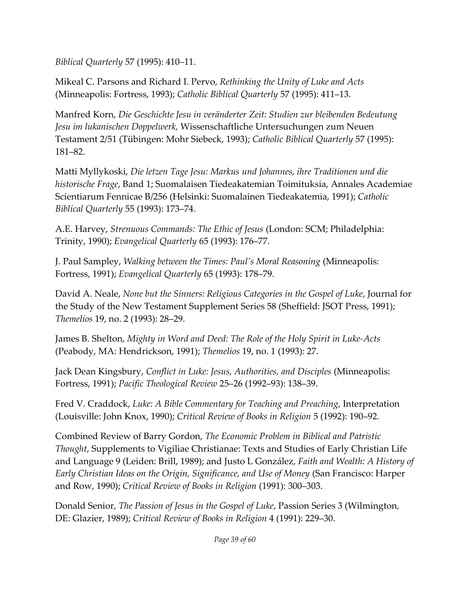*Biblical Quarterly* 57 (1995): 410–11.

Mikeal C. Parsons and Richard I. Pervo, *Rethinking the Unity of Luke and Acts* (Minneapolis: Fortress, 1993); *Catholic Biblical Quarterly* 57 (1995): 411–13.

Manfred Korn, *Die Geschichte Jesu in veränderter Zeit: Studien zur bleibenden Bedeutung Jesu im lukanischen Doppelwerk,* Wissenschaftliche Untersuchungen zum Neuen Testament 2/51 (Tübingen: Mohr Siebeck, 1993); *Catholic Biblical Quarterly* 57 (1995): 181–82.

Matti Myllykoski, *Die letzen Tage Jesu: Markus und Johannes, ihre Traditionen und die historische Frage*, Band 1; Suomalaisen Tiedeakatemian Toimituksia, Annales Academiae Scientiarum Fennicae B/256 (Helsinki: Suomalainen Tiedeakatemia, 1991); *Catholic Biblical Quarterly* 55 (1993): 173–74.

A.E. Harvey, *Strenuous Commands: The Ethic of Jesus* (London: SCM; Philadelphia: Trinity, 1990); *Evangelical Quarterly* 65 (1993): 176–77.

J. Paul Sampley, *Walking between the Times: Paul's Moral Reasoning* (Minneapolis: Fortress, 1991); *Evangelical Quarterly* 65 (1993): 178–79.

David A. Neale, *None but the Sinners: Religious Categories in the Gospel of Luke*, Journal for the Study of the New Testament Supplement Series 58 (Sheffield: JSOT Press, 1991); *Themelios* 19, no. 2 (1993): 28–29.

James B. Shelton, *Mighty in Word and Deed: The Role of the Holy Spirit in Luke-Acts* (Peabody, MA: Hendrickson, 1991); *Themelios* 19, no. 1 (1993): 27.

Jack Dean Kingsbury, *Conflict in Luke: Jesus, Authorities, and Disciples* (Minneapolis: Fortress, 1991); *Pacific Theological Review* 25–26 (1992–93): 138–39.

Fred V. Craddock, *Luke: A Bible Commentary for Teaching and Preaching*, Interpretation (Louisville: John Knox, 1990); *Critical Review of Books in Religion* 5 (1992): 190–92.

Combined Review of Barry Gordon, *The Economic Problem in Biblical and Patristic Thought*, Supplements to Vigiliae Christianae: Texts and Studies of Early Christian Life and Language 9 (Leiden: Brill, 1989); and Justo L González, *Faith and Wealth: A History of Early Christian Ideas on the Origin, Significance, and Use of Money* (San Francisco: Harper and Row, 1990); *Critical Review of Books in Religion* (1991): 300–303.

Donald Senior, *The Passion of Jesus in the Gospel of Luke*, Passion Series 3 (Wilmington, DE: Glazier, 1989); *Critical Review of Books in Religion* 4 (1991): 229–30.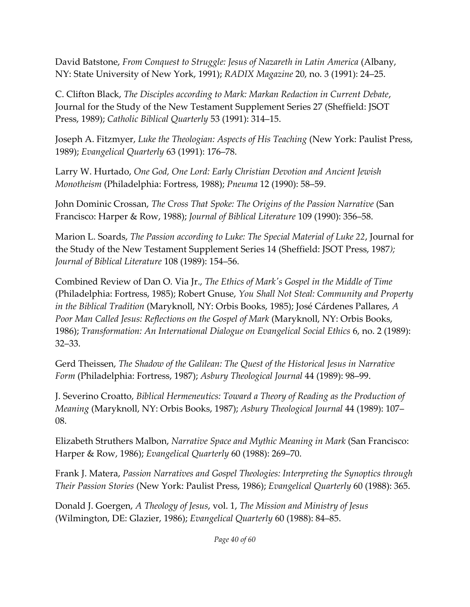David Batstone, *From Conquest to Struggle: Jesus of Nazareth in Latin America* (Albany, NY: State University of New York, 1991); *RADIX Magazine* 20, no. 3 (1991): 24–25.

C. Clifton Black, *The Disciples according to Mark: Markan Redaction in Current Debate*, Journal for the Study of the New Testament Supplement Series 27 (Sheffield: JSOT Press, 1989); *Catholic Biblical Quarterly* 53 (1991): 314–15.

Joseph A. Fitzmyer, *Luke the Theologian: Aspects of His Teaching* (New York: Paulist Press, 1989); *Evangelical Quarterly* 63 (1991): 176–78.

Larry W. Hurtado, *One God, One Lord: Early Christian Devotion and Ancient Jewish Monotheism* (Philadelphia: Fortress, 1988); *Pneuma* 12 (1990): 58–59.

John Dominic Crossan, *The Cross That Spoke: The Origins of the Passion Narrative* (San Francisco: Harper & Row, 1988); *Journal of Biblical Literature* 109 (1990): 356–58.

Marion L. Soards, *The Passion according to Luke: The Special Material of Luke 22*, Journal for the Study of the New Testament Supplement Series 14 (Sheffield: JSOT Press, 1987*); Journal of Biblical Literature* 108 (1989): 154–56.

Combined Review of Dan O. Via Jr., *The Ethics of Mark's Gospel in the Middle of Time* (Philadelphia: Fortress, 1985); Robert Gnuse, *You Shall Not Steal: Community and Property in the Biblical Tradition* (Maryknoll, NY: Orbis Books, 1985); José Cárdenes Pallares, *A Poor Man Called Jesus: Reflections on the Gospel of Mark* (Maryknoll, NY: Orbis Books, 1986); *Transformation: An International Dialogue on Evangelical Social Ethics* 6, no. 2 (1989): 32–33.

Gerd Theissen, *The Shadow of the Galilean: The Quest of the Historical Jesus in Narrative Form* (Philadelphia: Fortress, 1987); *Asbury Theological Journal* 44 (1989): 98–99.

J. Severino Croatto, *Biblical Hermeneutics: Toward a Theory of Reading as the Production of Meaning* (Maryknoll, NY: Orbis Books, 1987); *Asbury Theological Journal* 44 (1989): 107– 08.

Elizabeth Struthers Malbon, *Narrative Space and Mythic Meaning in Mark* (San Francisco: Harper & Row, 1986); *Evangelical Quarterly* 60 (1988): 269–70.

Frank J. Matera, *Passion Narratives and Gospel Theologies: Interpreting the Synoptics through Their Passion Stories* (New York: Paulist Press, 1986); *Evangelical Quarterly* 60 (1988): 365.

Donald J. Goergen, *A Theology of Jesus*, vol. 1, *The Mission and Ministry of Jesus* (Wilmington, DE: Glazier, 1986); *Evangelical Quarterly* 60 (1988): 84–85.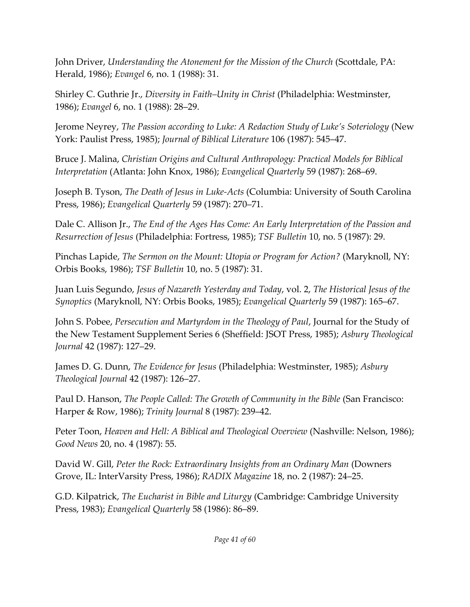John Driver, *Understanding the Atonement for the Mission of the Church* (Scottdale, PA: Herald, 1986); *Evangel* 6, no. 1 (1988): 31.

Shirley C. Guthrie Jr., *Diversity in Faith–Unity in Christ* (Philadelphia: Westminster, 1986); *Evangel* 6, no. 1 (1988): 28–29.

Jerome Neyrey, *The Passion according to Luke: A Redaction Study of Luke's Soteriology* (New York: Paulist Press, 1985); *Journal of Biblical Literature* 106 (1987): 545–47.

Bruce J. Malina, *Christian Origins and Cultural Anthropology: Practical Models for Biblical Interpretation* (Atlanta: John Knox, 1986); *Evangelical Quarterly* 59 (1987): 268–69.

Joseph B. Tyson, *The Death of Jesus in Luke-Acts* (Columbia: University of South Carolina Press, 1986); *Evangelical Quarterly* 59 (1987): 270–71.

Dale C. Allison Jr., *The End of the Ages Has Come: An Early Interpretation of the Passion and Resurrection of Jesus* (Philadelphia: Fortress, 1985); *TSF Bulletin* 10, no. 5 (1987): 29.

Pinchas Lapide, *The Sermon on the Mount: Utopia or Program for Action?* (Maryknoll, NY: Orbis Books, 1986); *TSF Bulletin* 10, no. 5 (1987): 31.

Juan Luis Segundo, *Jesus of Nazareth Yesterday and Today*, vol. 2, *The Historical Jesus of the Synoptics* (Maryknoll, NY: Orbis Books, 1985); *Evangelical Quarterly* 59 (1987): 165–67.

John S. Pobee, *Persecution and Martyrdom in the Theology of Paul*, Journal for the Study of the New Testament Supplement Series 6 (Sheffield: JSOT Press, 1985); *Asbury Theological Journal* 42 (1987): 127–29.

James D. G. Dunn, *The Evidence for Jesus* (Philadelphia: Westminster, 1985); *Asbury Theological Journal* 42 (1987): 126–27.

Paul D. Hanson, *The People Called: The Growth of Community in the Bible* (San Francisco: Harper & Row, 1986); *Trinity Journal* 8 (1987): 239–42.

Peter Toon, *Heaven and Hell: A Biblical and Theological Overview* (Nashville: Nelson, 1986); *Good News* 20, no. 4 (1987): 55.

David W. Gill, *Peter the Rock: Extraordinary Insights from an Ordinary Man* (Downers Grove, IL: InterVarsity Press, 1986); *RADIX Magazine* 18, no. 2 (1987): 24–25.

G.D. Kilpatrick, *The Eucharist in Bible and Liturgy* (Cambridge: Cambridge University Press, 1983); *Evangelical Quarterly* 58 (1986): 86–89.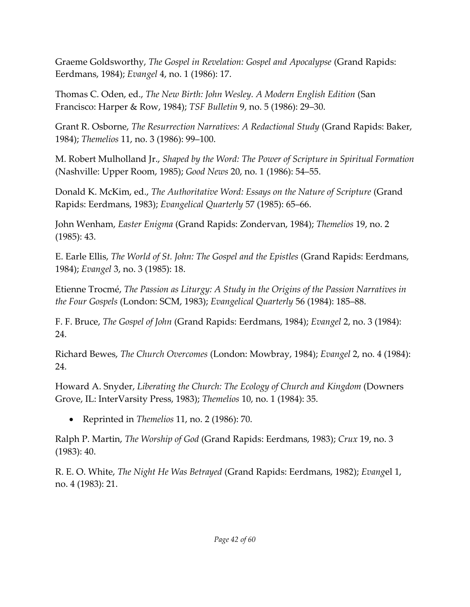Graeme Goldsworthy, *The Gospel in Revelation: Gospel and Apocalypse* (Grand Rapids: Eerdmans, 1984); *Evangel* 4, no. 1 (1986): 17.

Thomas C. Oden, ed., *The New Birth: John Wesley. A Modern English Edition* (San Francisco: Harper & Row, 1984); *TSF Bulletin* 9, no. 5 (1986): 29–30.

Grant R. Osborne, *The Resurrection Narratives: A Redactional Study* (Grand Rapids: Baker, 1984); *Themelios* 11, no. 3 (1986): 99–100.

M. Robert Mulholland Jr., *Shaped by the Word: The Power of Scripture in Spiritual Formation* (Nashville: Upper Room, 1985); *Good News* 20, no. 1 (1986): 54–55.

Donald K. McKim, ed., *The Authoritative Word: Essays on the Nature of Scripture* (Grand Rapids: Eerdmans, 1983); *Evangelical Quarterly* 57 (1985): 65–66.

John Wenham, *Easter Enigma* (Grand Rapids: Zondervan, 1984); *Themelios* 19, no. 2 (1985): 43.

E. Earle Ellis, *The World of St. John: The Gospel and the Epistles* (Grand Rapids: Eerdmans, 1984); *Evangel* 3, no. 3 (1985): 18.

Etienne Trocmé, *The Passion as Liturgy: A Study in the Origins of the Passion Narratives in the Four Gospels* (London: SCM, 1983); *Evangelical Quarterly* 56 (1984): 185–88.

F. F. Bruce, *The Gospel of John* (Grand Rapids: Eerdmans, 1984); *Evangel* 2, no. 3 (1984): 24.

Richard Bewes, *The Church Overcomes* (London: Mowbray, 1984); *Evangel* 2, no. 4 (1984): 24.

Howard A. Snyder, *Liberating the Church: The Ecology of Church and Kingdom* (Downers Grove, IL: InterVarsity Press, 1983); *Themelios* 10, no. 1 (1984): 35.

• Reprinted in *Themelios* 11, no. 2 (1986): 70.

Ralph P. Martin, *The Worship of God* (Grand Rapids: Eerdmans, 1983); *Crux* 19, no. 3 (1983): 40.

R. E. O. White, *The Night He Was Betrayed* (Grand Rapids: Eerdmans, 1982); *Evang*el 1, no. 4 (1983): 21.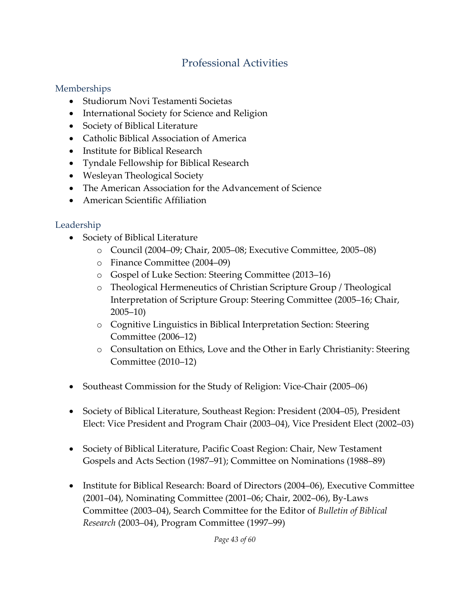### Professional Activities

#### Memberships

- Studiorum Novi Testamenti Societas
- International Society for Science and Religion
- Society of Biblical Literature
- Catholic Biblical Association of America
- Institute for Biblical Research
- Tyndale Fellowship for Biblical Research
- Wesleyan Theological Society
- The American Association for the Advancement of Science
- American Scientific Affiliation

### Leadership

- Society of Biblical Literature
	- o Council (2004–09; Chair, 2005–08; Executive Committee, 2005–08)
	- o Finance Committee (2004–09)
	- o Gospel of Luke Section: Steering Committee (2013–16)
	- o Theological Hermeneutics of Christian Scripture Group / Theological Interpretation of Scripture Group: Steering Committee (2005–16; Chair, 2005–10)
	- o Cognitive Linguistics in Biblical Interpretation Section: Steering Committee (2006–12)
	- o Consultation on Ethics, Love and the Other in Early Christianity: Steering Committee (2010–12)
- Southeast Commission for the Study of Religion: Vice-Chair (2005–06)
- Society of Biblical Literature, Southeast Region: President (2004–05), President Elect: Vice President and Program Chair (2003–04), Vice President Elect (2002–03)
- Society of Biblical Literature, Pacific Coast Region: Chair, New Testament Gospels and Acts Section (1987–91); Committee on Nominations (1988–89)
- Institute for Biblical Research: Board of Directors (2004–06), Executive Committee (2001–04), Nominating Committee (2001–06; Chair, 2002–06), By-Laws Committee (2003–04), Search Committee for the Editor of *Bulletin of Biblical Research* (2003–04), Program Committee (1997–99)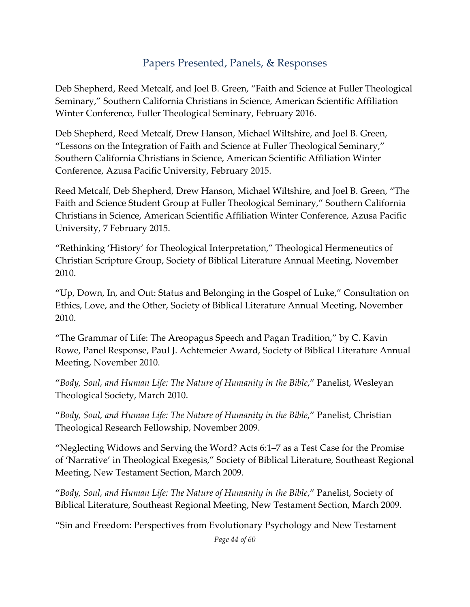### Papers Presented, Panels, & Responses

Deb Shepherd, Reed Metcalf, and Joel B. Green, "Faith and Science at Fuller Theological Seminary," Southern California Christians in Science, American Scientific Affiliation Winter Conference, Fuller Theological Seminary, February 2016.

Deb Shepherd, Reed Metcalf, Drew Hanson, Michael Wiltshire, and Joel B. Green, "Lessons on the Integration of Faith and Science at Fuller Theological Seminary," Southern California Christians in Science, American Scientific Affiliation Winter Conference, Azusa Pacific University, February 2015.

Reed Metcalf, Deb Shepherd, Drew Hanson, Michael Wiltshire, and Joel B. Green, "The Faith and Science Student Group at Fuller Theological Seminary," Southern California Christians in Science, American Scientific Affiliation Winter Conference, Azusa Pacific University, 7 February 2015.

"Rethinking 'History' for Theological Interpretation," Theological Hermeneutics of Christian Scripture Group, Society of Biblical Literature Annual Meeting, November 2010.

"Up, Down, In, and Out: Status and Belonging in the Gospel of Luke," Consultation on Ethics, Love, and the Other, Society of Biblical Literature Annual Meeting, November 2010.

"The Grammar of Life: The Areopagus Speech and Pagan Tradition," by C. Kavin Rowe, Panel Response, Paul J. Achtemeier Award, Society of Biblical Literature Annual Meeting, November 2010.

"*Body, Soul, and Human Life: The Nature of Humanity in the Bible*," Panelist, Wesleyan Theological Society, March 2010.

"*Body, Soul, and Human Life: The Nature of Humanity in the Bible*," Panelist, Christian Theological Research Fellowship, November 2009.

"Neglecting Widows and Serving the Word? Acts 6:1–7 as a Test Case for the Promise of 'Narrative' in Theological Exegesis," Society of Biblical Literature, Southeast Regional Meeting, New Testament Section, March 2009.

"*Body, Soul, and Human Life: The Nature of Humanity in the Bible*," Panelist, Society of Biblical Literature, Southeast Regional Meeting, New Testament Section, March 2009.

"Sin and Freedom: Perspectives from Evolutionary Psychology and New Testament

*Page 44 of 60*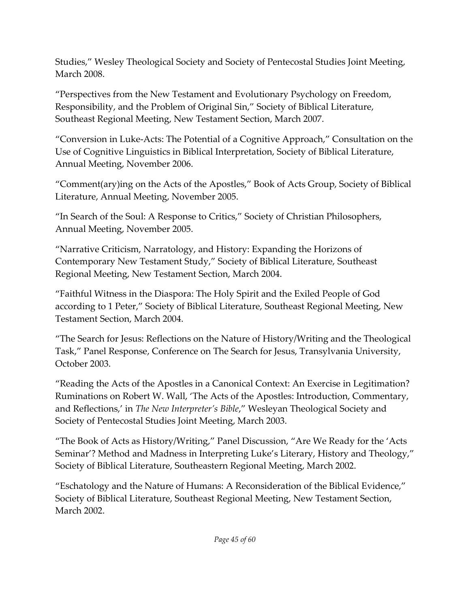Studies," Wesley Theological Society and Society of Pentecostal Studies Joint Meeting, March 2008.

"Perspectives from the New Testament and Evolutionary Psychology on Freedom, Responsibility, and the Problem of Original Sin," Society of Biblical Literature, Southeast Regional Meeting, New Testament Section, March 2007.

"Conversion in Luke-Acts: The Potential of a Cognitive Approach," Consultation on the Use of Cognitive Linguistics in Biblical Interpretation, Society of Biblical Literature, Annual Meeting, November 2006.

"Comment(ary)ing on the Acts of the Apostles," Book of Acts Group, Society of Biblical Literature, Annual Meeting, November 2005.

"In Search of the Soul: A Response to Critics," Society of Christian Philosophers, Annual Meeting, November 2005.

"Narrative Criticism, Narratology, and History: Expanding the Horizons of Contemporary New Testament Study," Society of Biblical Literature, Southeast Regional Meeting, New Testament Section, March 2004.

"Faithful Witness in the Diaspora: The Holy Spirit and the Exiled People of God according to 1 Peter," Society of Biblical Literature, Southeast Regional Meeting, New Testament Section, March 2004.

"The Search for Jesus: Reflections on the Nature of History/Writing and the Theological Task," Panel Response, Conference on The Search for Jesus, Transylvania University, October 2003.

"Reading the Acts of the Apostles in a Canonical Context: An Exercise in Legitimation? Ruminations on Robert W. Wall, 'The Acts of the Apostles: Introduction, Commentary, and Reflections,' in *The New Interpreter's Bible*," Wesleyan Theological Society and Society of Pentecostal Studies Joint Meeting, March 2003.

"The Book of Acts as History/Writing," Panel Discussion, "Are We Ready for the 'Acts Seminar'? Method and Madness in Interpreting Luke's Literary, History and Theology," Society of Biblical Literature, Southeastern Regional Meeting, March 2002.

"Eschatology and the Nature of Humans: A Reconsideration of the Biblical Evidence," Society of Biblical Literature, Southeast Regional Meeting, New Testament Section, March 2002.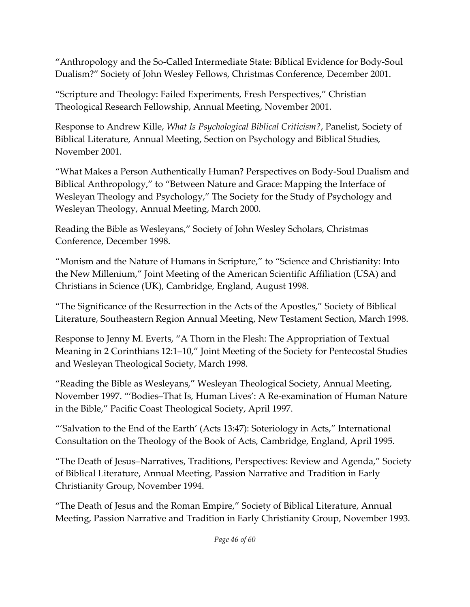"Anthropology and the So-Called Intermediate State: Biblical Evidence for Body-Soul Dualism?" Society of John Wesley Fellows, Christmas Conference, December 2001.

"Scripture and Theology: Failed Experiments, Fresh Perspectives," Christian Theological Research Fellowship, Annual Meeting, November 2001.

Response to Andrew Kille, *What Is Psychological Biblical Criticism?*, Panelist, Society of Biblical Literature, Annual Meeting, Section on Psychology and Biblical Studies, November 2001.

"What Makes a Person Authentically Human? Perspectives on Body-Soul Dualism and Biblical Anthropology," to "Between Nature and Grace: Mapping the Interface of Wesleyan Theology and Psychology," The Society for the Study of Psychology and Wesleyan Theology, Annual Meeting, March 2000.

Reading the Bible as Wesleyans," Society of John Wesley Scholars, Christmas Conference, December 1998.

"Monism and the Nature of Humans in Scripture," to "Science and Christianity: Into the New Millenium," Joint Meeting of the American Scientific Affiliation (USA) and Christians in Science (UK), Cambridge, England, August 1998.

"The Significance of the Resurrection in the Acts of the Apostles," Society of Biblical Literature, Southeastern Region Annual Meeting, New Testament Section, March 1998.

Response to Jenny M. Everts, "A Thorn in the Flesh: The Appropriation of Textual Meaning in 2 Corinthians 12:1–10," Joint Meeting of the Society for Pentecostal Studies and Wesleyan Theological Society, March 1998.

"Reading the Bible as Wesleyans," Wesleyan Theological Society, Annual Meeting, November 1997. "'Bodies–That Is, Human Lives': A Re-examination of Human Nature in the Bible," Pacific Coast Theological Society, April 1997.

"'Salvation to the End of the Earth' (Acts 13:47): Soteriology in Acts," International Consultation on the Theology of the Book of Acts, Cambridge, England, April 1995.

"The Death of Jesus–Narratives, Traditions, Perspectives: Review and Agenda," Society of Biblical Literature, Annual Meeting, Passion Narrative and Tradition in Early Christianity Group, November 1994.

"The Death of Jesus and the Roman Empire," Society of Biblical Literature, Annual Meeting, Passion Narrative and Tradition in Early Christianity Group, November 1993.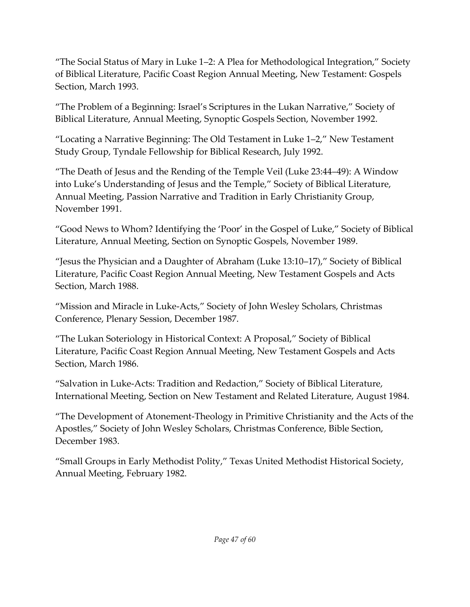"The Social Status of Mary in Luke 1–2: A Plea for Methodological Integration," Society of Biblical Literature, Pacific Coast Region Annual Meeting, New Testament: Gospels Section, March 1993.

"The Problem of a Beginning: Israel's Scriptures in the Lukan Narrative," Society of Biblical Literature, Annual Meeting, Synoptic Gospels Section, November 1992.

"Locating a Narrative Beginning: The Old Testament in Luke 1–2," New Testament Study Group, Tyndale Fellowship for Biblical Research, July 1992.

"The Death of Jesus and the Rending of the Temple Veil (Luke 23:44–49): A Window into Luke's Understanding of Jesus and the Temple," Society of Biblical Literature, Annual Meeting, Passion Narrative and Tradition in Early Christianity Group, November 1991.

"Good News to Whom? Identifying the 'Poor' in the Gospel of Luke," Society of Biblical Literature, Annual Meeting, Section on Synoptic Gospels, November 1989.

"Jesus the Physician and a Daughter of Abraham (Luke 13:10–17)," Society of Biblical Literature, Pacific Coast Region Annual Meeting, New Testament Gospels and Acts Section, March 1988.

"Mission and Miracle in Luke-Acts," Society of John Wesley Scholars, Christmas Conference, Plenary Session, December 1987.

"The Lukan Soteriology in Historical Context: A Proposal," Society of Biblical Literature, Pacific Coast Region Annual Meeting, New Testament Gospels and Acts Section, March 1986.

"Salvation in Luke-Acts: Tradition and Redaction," Society of Biblical Literature, International Meeting, Section on New Testament and Related Literature, August 1984.

"The Development of Atonement-Theology in Primitive Christianity and the Acts of the Apostles," Society of John Wesley Scholars, Christmas Conference, Bible Section, December 1983.

"Small Groups in Early Methodist Polity," Texas United Methodist Historical Society, Annual Meeting, February 1982.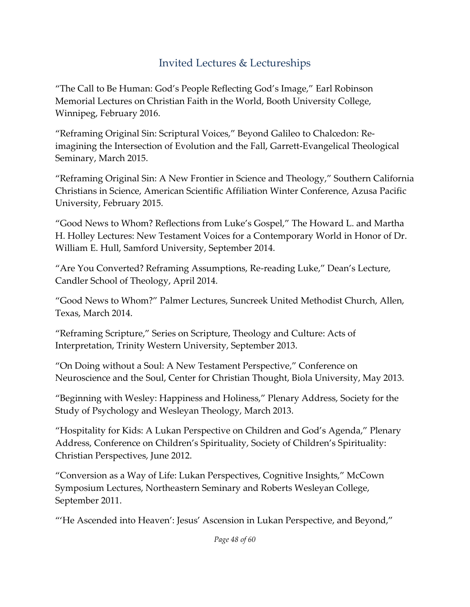## Invited Lectures & Lectureships

"The Call to Be Human: God's People Reflecting God's Image," Earl Robinson Memorial Lectures on Christian Faith in the World, Booth University College, Winnipeg, February 2016.

"Reframing Original Sin: Scriptural Voices," Beyond Galileo to Chalcedon: Reimagining the Intersection of Evolution and the Fall, Garrett-Evangelical Theological Seminary, March 2015.

"Reframing Original Sin: A New Frontier in Science and Theology," Southern California Christians in Science, American Scientific Affiliation Winter Conference, Azusa Pacific University, February 2015.

"Good News to Whom? Reflections from Luke's Gospel," The Howard L. and Martha H. Holley Lectures: New Testament Voices for a Contemporary World in Honor of Dr. William E. Hull, Samford University, September 2014.

"Are You Converted? Reframing Assumptions, Re-reading Luke," Dean's Lecture, Candler School of Theology, April 2014.

"Good News to Whom?" Palmer Lectures, Suncreek United Methodist Church, Allen, Texas, March 2014.

"Reframing Scripture," Series on Scripture, Theology and Culture: Acts of Interpretation, Trinity Western University, September 2013.

"On Doing without a Soul: A New Testament Perspective," Conference on Neuroscience and the Soul, Center for Christian Thought, Biola University, May 2013.

"Beginning with Wesley: Happiness and Holiness," Plenary Address, Society for the Study of Psychology and Wesleyan Theology, March 2013.

"Hospitality for Kids: A Lukan Perspective on Children and God's Agenda," Plenary Address, Conference on Children's Spirituality, Society of Children's Spirituality: Christian Perspectives, June 2012.

"Conversion as a Way of Life: Lukan Perspectives, Cognitive Insights," McCown Symposium Lectures, Northeastern Seminary and Roberts Wesleyan College, September 2011.

"'He Ascended into Heaven': Jesus' Ascension in Lukan Perspective, and Beyond,"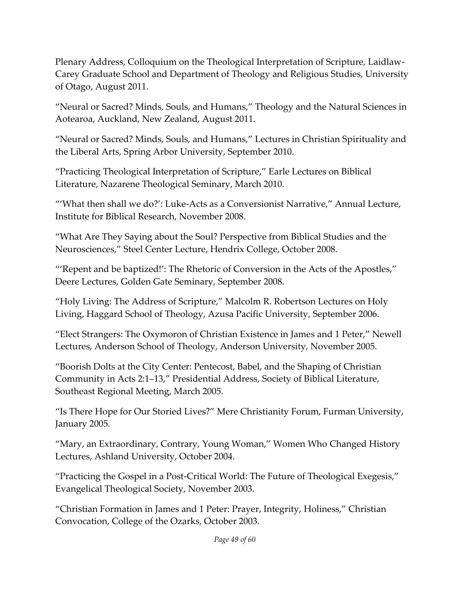Plenary Address, Colloquium on the Theological Interpretation of Scripture, Laidlaw-Carey Graduate School and Department of Theology and Religious Studies, University of Otago, August 2011.

"Neural or Sacred? Minds, Souls, and Humans," Theology and the Natural Sciences in Aotearoa, Auckland, New Zealand, August 2011.

"Neural or Sacred? Minds, Souls, and Humans," Lectures in Christian Spirituality and the Liberal Arts, Spring Arbor University, September 2010.

"Practicing Theological Interpretation of Scripture," Earle Lectures on Biblical Literature, Nazarene Theological Seminary, March 2010.

"'What then shall we do?': Luke-Acts as a Conversionist Narrative," Annual Lecture, Institute for Biblical Research, November 2008.

"What Are They Saying about the Soul? Perspective from Biblical Studies and the Neurosciences," Steel Center Lecture, Hendrix College, October 2008.

"'Repent and be baptized!': The Rhetoric of Conversion in the Acts of the Apostles," Deere Lectures, Golden Gate Seminary, September 2008.

"Holy Living: The Address of Scripture," Malcolm R. Robertson Lectures on Holy Living, Haggard School of Theology, Azusa Pacific University, September 2006.

"Elect Strangers: The Oxymoron of Christian Existence in James and 1 Peter," Newell Lectures, Anderson School of Theology, Anderson University, November 2005.

"Boorish Dolts at the City Center: Pentecost, Babel, and the Shaping of Christian Community in Acts 2:1–13," Presidential Address, Society of Biblical Literature, Southeast Regional Meeting, March 2005.

"Is There Hope for Our Storied Lives?" Mere Christianity Forum, Furman University, January 2005.

"Mary, an Extraordinary, Contrary, Young Woman," Women Who Changed History Lectures, Ashland University, October 2004.

"Practicing the Gospel in a Post-Critical World: The Future of Theological Exegesis," Evangelical Theological Society, November 2003.

"Christian Formation in James and 1 Peter: Prayer, Integrity, Holiness," Christian Convocation, College of the Ozarks, October 2003.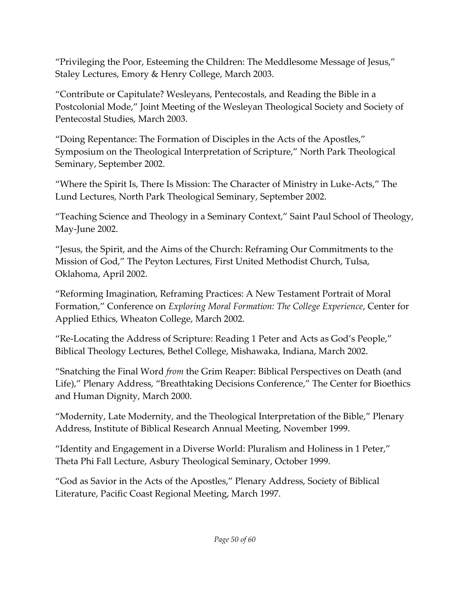"Privileging the Poor, Esteeming the Children: The Meddlesome Message of Jesus," Staley Lectures, Emory & Henry College, March 2003.

"Contribute or Capitulate? Wesleyans, Pentecostals, and Reading the Bible in a Postcolonial Mode," Joint Meeting of the Wesleyan Theological Society and Society of Pentecostal Studies, March 2003.

"Doing Repentance: The Formation of Disciples in the Acts of the Apostles," Symposium on the Theological Interpretation of Scripture," North Park Theological Seminary, September 2002.

"Where the Spirit Is, There Is Mission: The Character of Ministry in Luke-Acts," The Lund Lectures, North Park Theological Seminary, September 2002.

"Teaching Science and Theology in a Seminary Context," Saint Paul School of Theology, May-June 2002.

"Jesus, the Spirit, and the Aims of the Church: Reframing Our Commitments to the Mission of God," The Peyton Lectures, First United Methodist Church, Tulsa, Oklahoma, April 2002.

"Reforming Imagination, Reframing Practices: A New Testament Portrait of Moral Formation," Conference on *Exploring Moral Formation: The College Experience*, Center for Applied Ethics, Wheaton College, March 2002.

"Re-Locating the Address of Scripture: Reading 1 Peter and Acts as God's People," Biblical Theology Lectures, Bethel College, Mishawaka, Indiana, March 2002.

"Snatching the Final Word *from* the Grim Reaper: Biblical Perspectives on Death (and Life)," Plenary Address, "Breathtaking Decisions Conference," The Center for Bioethics and Human Dignity, March 2000.

"Modernity, Late Modernity, and the Theological Interpretation of the Bible," Plenary Address, Institute of Biblical Research Annual Meeting, November 1999.

"Identity and Engagement in a Diverse World: Pluralism and Holiness in 1 Peter," Theta Phi Fall Lecture, Asbury Theological Seminary, October 1999.

"God as Savior in the Acts of the Apostles," Plenary Address, Society of Biblical Literature, Pacific Coast Regional Meeting, March 1997.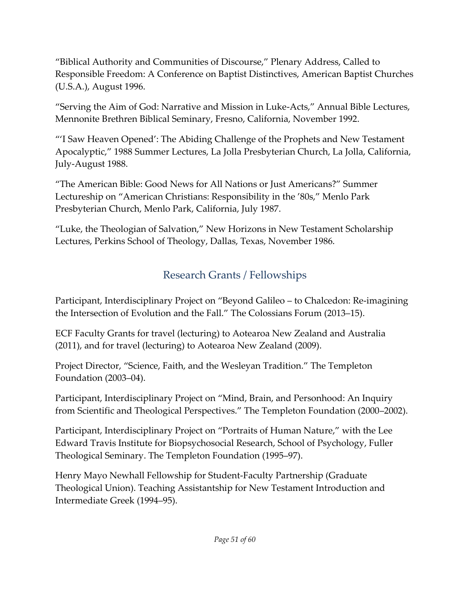"Biblical Authority and Communities of Discourse," Plenary Address, Called to Responsible Freedom: A Conference on Baptist Distinctives, American Baptist Churches (U.S.A.), August 1996.

"Serving the Aim of God: Narrative and Mission in Luke-Acts," Annual Bible Lectures, Mennonite Brethren Biblical Seminary, Fresno, California, November 1992.

"'I Saw Heaven Opened': The Abiding Challenge of the Prophets and New Testament Apocalyptic," 1988 Summer Lectures, La Jolla Presbyterian Church, La Jolla, California, July-August 1988.

"The American Bible: Good News for All Nations or Just Americans?" Summer Lectureship on "American Christians: Responsibility in the '80s," Menlo Park Presbyterian Church, Menlo Park, California, July 1987.

"Luke, the Theologian of Salvation," New Horizons in New Testament Scholarship Lectures, Perkins School of Theology, Dallas, Texas, November 1986.

## Research Grants / Fellowships

Participant, Interdisciplinary Project on "Beyond Galileo – to Chalcedon: Re-imagining the Intersection of Evolution and the Fall." The Colossians Forum (2013–15).

ECF Faculty Grants for travel (lecturing) to Aotearoa New Zealand and Australia (2011), and for travel (lecturing) to Aotearoa New Zealand (2009).

Project Director, "Science, Faith, and the Wesleyan Tradition." The Templeton Foundation (2003–04).

Participant, Interdisciplinary Project on "Mind, Brain, and Personhood: An Inquiry from Scientific and Theological Perspectives." The Templeton Foundation (2000–2002).

Participant, Interdisciplinary Project on "Portraits of Human Nature," with the Lee Edward Travis Institute for Biopsychosocial Research, School of Psychology, Fuller Theological Seminary. The Templeton Foundation (1995–97).

Henry Mayo Newhall Fellowship for Student-Faculty Partnership (Graduate Theological Union). Teaching Assistantship for New Testament Introduction and Intermediate Greek (1994–95).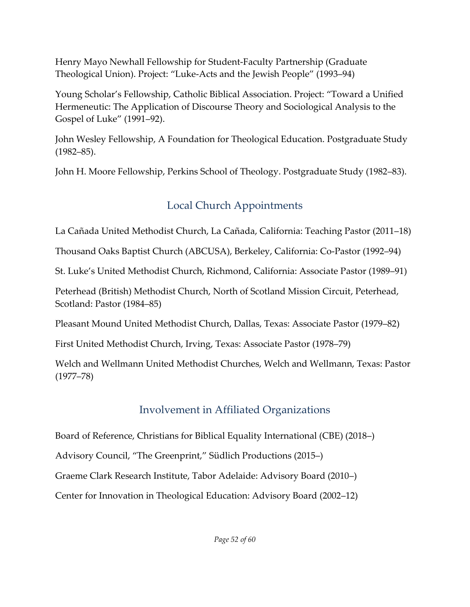Henry Mayo Newhall Fellowship for Student-Faculty Partnership (Graduate Theological Union). Project: "Luke-Acts and the Jewish People" (1993–94)

Young Scholar's Fellowship, Catholic Biblical Association. Project: "Toward a Unified Hermeneutic: The Application of Discourse Theory and Sociological Analysis to the Gospel of Luke" (1991–92).

John Wesley Fellowship, A Foundation for Theological Education. Postgraduate Study (1982–85).

John H. Moore Fellowship, Perkins School of Theology. Postgraduate Study (1982–83).

# Local Church Appointments

La Cañada United Methodist Church, La Cañada, California: Teaching Pastor (2011–18)

Thousand Oaks Baptist Church (ABCUSA), Berkeley, California: Co-Pastor (1992–94)

St. Luke's United Methodist Church, Richmond, California: Associate Pastor (1989–91)

Peterhead (British) Methodist Church, North of Scotland Mission Circuit, Peterhead, Scotland: Pastor (1984–85)

Pleasant Mound United Methodist Church, Dallas, Texas: Associate Pastor (1979–82)

First United Methodist Church, Irving, Texas: Associate Pastor (1978–79)

Welch and Wellmann United Methodist Churches, Welch and Wellmann, Texas: Pastor (1977–78)

# Involvement in Affiliated Organizations

Board of Reference, Christians for Biblical Equality International (CBE) (2018–)

Advisory Council, "The Greenprint," Südlich Productions (2015–)

Graeme Clark Research Institute, Tabor Adelaide: Advisory Board (2010–)

Center for Innovation in Theological Education: Advisory Board (2002–12)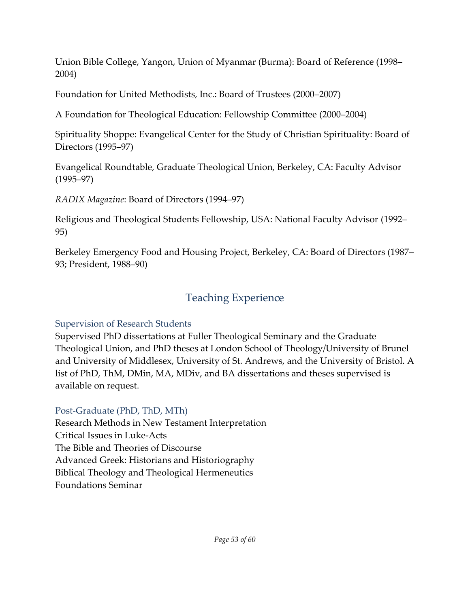Union Bible College, Yangon, Union of Myanmar (Burma): Board of Reference (1998– 2004)

Foundation for United Methodists, Inc.: Board of Trustees (2000–2007)

A Foundation for Theological Education: Fellowship Committee (2000–2004)

Spirituality Shoppe: Evangelical Center for the Study of Christian Spirituality: Board of Directors (1995–97)

Evangelical Roundtable, Graduate Theological Union, Berkeley, CA: Faculty Advisor (1995–97)

*RADIX Magazine*: Board of Directors (1994–97)

Religious and Theological Students Fellowship, USA: National Faculty Advisor (1992– 95)

Berkeley Emergency Food and Housing Project, Berkeley, CA: Board of Directors (1987– 93; President, 1988–90)

## Teaching Experience

### Supervision of Research Students

Supervised PhD dissertations at Fuller Theological Seminary and the Graduate Theological Union, and PhD theses at London School of Theology/University of Brunel and University of Middlesex, University of St. Andrews, and the University of Bristol. A list of PhD, ThM, DMin, MA, MDiv, and BA dissertations and theses supervised is available on request.

### Post-Graduate (PhD, ThD, MTh)

Research Methods in New Testament Interpretation Critical Issues in Luke-Acts The Bible and Theories of Discourse Advanced Greek: Historians and Historiography Biblical Theology and Theological Hermeneutics Foundations Seminar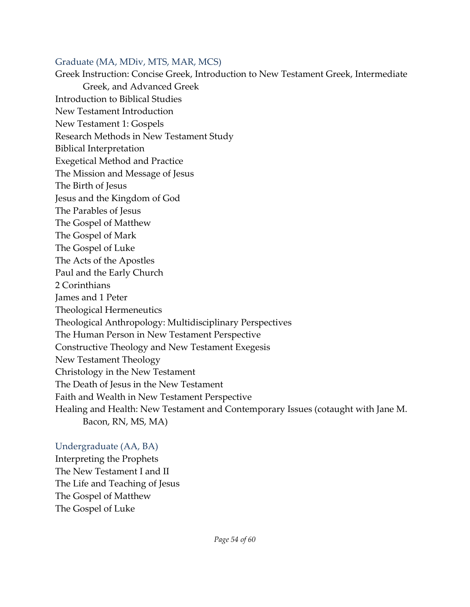#### Graduate (MA, MDiv, MTS, MAR, MCS)

Greek Instruction: Concise Greek, Introduction to New Testament Greek, Intermediate Greek, and Advanced Greek Introduction to Biblical Studies New Testament Introduction New Testament 1: Gospels Research Methods in New Testament Study Biblical Interpretation Exegetical Method and Practice The Mission and Message of Jesus The Birth of Jesus Jesus and the Kingdom of God The Parables of Jesus The Gospel of Matthew The Gospel of Mark The Gospel of Luke The Acts of the Apostles Paul and the Early Church 2 Corinthians James and 1 Peter Theological Hermeneutics Theological Anthropology: Multidisciplinary Perspectives The Human Person in New Testament Perspective Constructive Theology and New Testament Exegesis New Testament Theology Christology in the New Testament The Death of Jesus in the New Testament Faith and Wealth in New Testament Perspective Healing and Health: New Testament and Contemporary Issues (cotaught with Jane M. Bacon, RN, MS, MA)

#### Undergraduate (AA, BA)

Interpreting the Prophets The New Testament I and II The Life and Teaching of Jesus The Gospel of Matthew The Gospel of Luke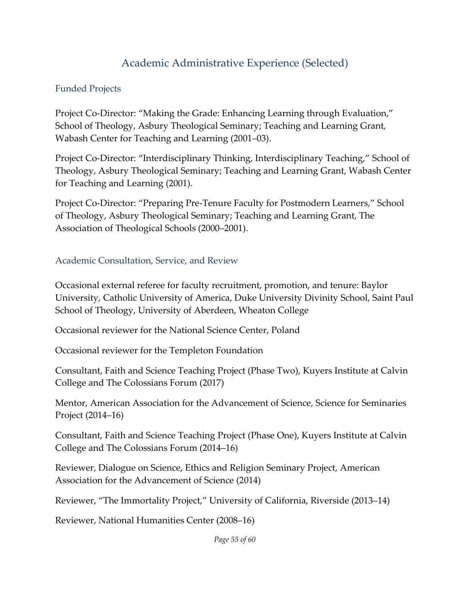### Academic Administrative Experience (Selected)

#### Funded Projects

Project Co-Director: "Making the Grade: Enhancing Learning through Evaluation," School of Theology, Asbury Theological Seminary; Teaching and Learning Grant, Wabash Center for Teaching and Learning (2001–03).

Project Co-Director: "Interdisciplinary Thinking, Interdisciplinary Teaching," School of Theology, Asbury Theological Seminary; Teaching and Learning Grant, Wabash Center for Teaching and Learning (2001).

Project Co-Director: "Preparing Pre-Tenure Faculty for Postmodern Learners," School of Theology, Asbury Theological Seminary; Teaching and Learning Grant, The Association of Theological Schools (2000–2001).

#### Academic Consultation, Service, and Review

Occasional external referee for faculty recruitment, promotion, and tenure: Baylor University, Catholic University of America, Duke University Divinity School, Saint Paul School of Theology, University of Aberdeen, Wheaton College

Occasional reviewer for the National Science Center, Poland

Occasional reviewer for the Templeton Foundation

Consultant, Faith and Science Teaching Project (Phase Two), Kuyers Institute at Calvin College and The Colossians Forum (2017)

Mentor, American Association for the Advancement of Science, Science for Seminaries Project (2014–16)

Consultant, Faith and Science Teaching Project (Phase One), Kuyers Institute at Calvin College and The Colossians Forum (2014–16)

Reviewer, Dialogue on Science, Ethics and Religion Seminary Project, American Association for the Advancement of Science (2014)

Reviewer, "The Immortality Project," University of California, Riverside (2013–14)

Reviewer, National Humanities Center (2008–16)

*Page 55 of 60*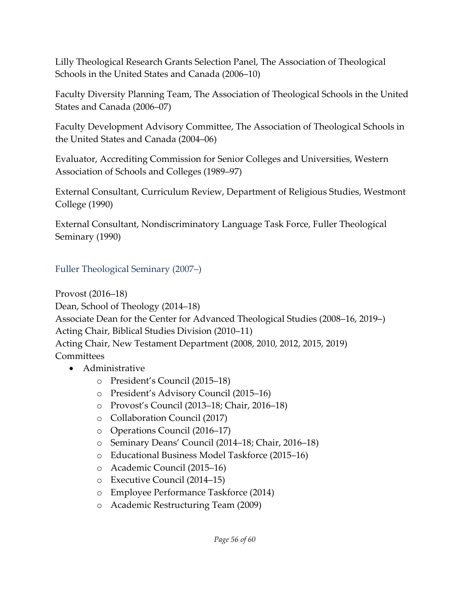Lilly Theological Research Grants Selection Panel, The Association of Theological Schools in the United States and Canada (2006–10)

Faculty Diversity Planning Team, The Association of Theological Schools in the United States and Canada (2006–07)

Faculty Development Advisory Committee, The Association of Theological Schools in the United States and Canada (2004–06)

Evaluator, Accrediting Commission for Senior Colleges and Universities, Western Association of Schools and Colleges (1989–97)

External Consultant, Curriculum Review, Department of Religious Studies, Westmont College (1990)

External Consultant, Nondiscriminatory Language Task Force, Fuller Theological Seminary (1990)

Fuller Theological Seminary (2007–)

Provost (2016–18) Dean, School of Theology (2014–18) Associate Dean for the Center for Advanced Theological Studies (2008–16, 2019–) Acting Chair, Biblical Studies Division (2010–11) Acting Chair, New Testament Department (2008, 2010, 2012, 2015, 2019) **Committees** 

- Administrative
	- o President's Council (2015–18)
	- o President's Advisory Council (2015–16)
	- o Provost's Council (2013–18; Chair, 2016–18)
	- o Collaboration Council (2017)
	- o Operations Council (2016–17)
	- o Seminary Deans' Council (2014–18; Chair, 2016–18)
	- o Educational Business Model Taskforce (2015–16)
	- o Academic Council (2015–16)
	- o Executive Council (2014–15)
	- o Employee Performance Taskforce (2014)
	- o Academic Restructuring Team (2009)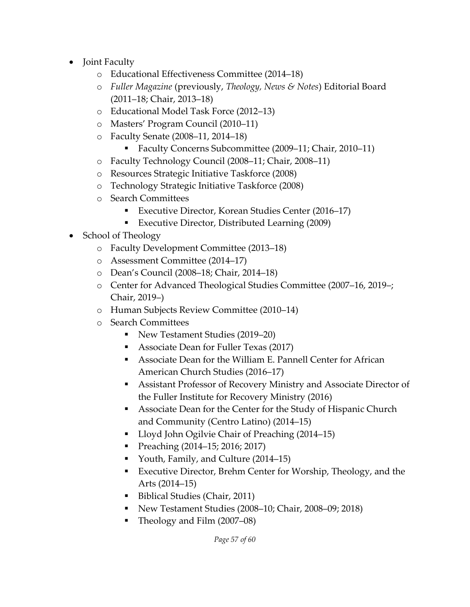- Joint Faculty
	- o Educational Effectiveness Committee (2014–18)
	- o *Fuller Magazine* (previously, *Theology, News & Notes*) Editorial Board (2011–18; Chair, 2013–18)
	- o Educational Model Task Force (2012–13)
	- o Masters' Program Council (2010–11)
	- o Faculty Senate (2008–11, 2014–18)
		- Faculty Concerns Subcommittee (2009–11; Chair, 2010–11)
	- o Faculty Technology Council (2008–11; Chair, 2008–11)
	- o Resources Strategic Initiative Taskforce (2008)
	- o Technology Strategic Initiative Taskforce (2008)
	- o Search Committees
		- Executive Director, Korean Studies Center (2016–17)
		- Executive Director, Distributed Learning (2009)
- School of Theology
	- o Faculty Development Committee (2013–18)
	- o Assessment Committee (2014–17)
	- o Dean's Council (2008–18; Chair, 2014–18)
	- o Center for Advanced Theological Studies Committee (2007–16, 2019–; Chair, 2019–)
	- o Human Subjects Review Committee (2010–14)
	- o Search Committees
		- New Testament Studies (2019–20)
		- Associate Dean for Fuller Texas (2017)
		- Associate Dean for the William E. Pannell Center for African American Church Studies (2016–17)
		- Assistant Professor of Recovery Ministry and Associate Director of the Fuller Institute for Recovery Ministry (2016)
		- Associate Dean for the Center for the Study of Hispanic Church and Community (Centro Latino) (2014–15)
		- Lloyd John Ogilvie Chair of Preaching (2014–15)
		- **•** Preaching (2014–15; 2016; 2017)
		- Youth, Family, and Culture (2014–15)
		- Executive Director, Brehm Center for Worship, Theology, and the Arts (2014–15)
		- Biblical Studies (Chair, 2011)
		- New Testament Studies (2008–10; Chair, 2008–09; 2018)
		- Theology and Film (2007–08)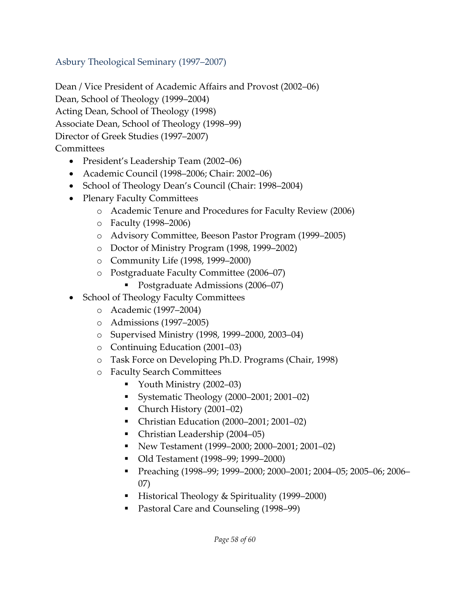### Asbury Theological Seminary (1997–2007)

Dean / Vice President of Academic Affairs and Provost (2002–06) Dean, School of Theology (1999–2004) Acting Dean, School of Theology (1998) Associate Dean, School of Theology (1998–99) Director of Greek Studies (1997–2007) **Committees** 

- President's Leadership Team (2002–06)
- Academic Council (1998–2006; Chair: 2002–06)
- School of Theology Dean's Council (Chair: 1998–2004)
- Plenary Faculty Committees
	- o Academic Tenure and Procedures for Faculty Review (2006)
	- o Faculty (1998–2006)
	- o Advisory Committee, Beeson Pastor Program (1999–2005)
	- o Doctor of Ministry Program (1998, 1999–2002)
	- o Community Life (1998, 1999–2000)
	- o Postgraduate Faculty Committee (2006–07)
		- Postgraduate Admissions (2006–07)
- School of Theology Faculty Committees
	- o Academic (1997–2004)
	- o Admissions (1997–2005)
	- o Supervised Ministry (1998, 1999–2000, 2003–04)
	- o Continuing Education (2001–03)
	- o Task Force on Developing Ph.D. Programs (Chair, 1998)
	- o Faculty Search Committees
		- Youth Ministry (2002–03)
		- Systematic Theology (2000–2001; 2001–02)
		- Church History (2001–02)
		- Christian Education (2000–2001; 2001–02)
		- Christian Leadership (2004–05)
		- New Testament (1999–2000; 2000–2001; 2001–02)
		- Old Testament (1998–99; 1999–2000)
		- Preaching (1998–99; 1999–2000; 2000–2001; 2004–05; 2005–06; 2006– 07)
		- Historical Theology & Spirituality (1999–2000)
		- Pastoral Care and Counseling (1998-99)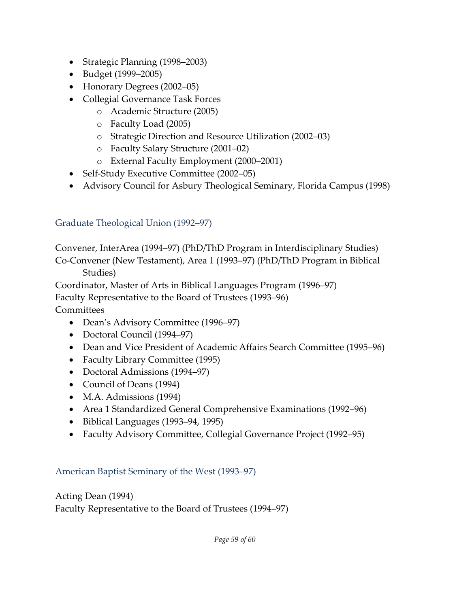- Strategic Planning (1998–2003)
- Budget (1999–2005)
- Honorary Degrees (2002–05)
- Collegial Governance Task Forces
	- o Academic Structure (2005)
	- o Faculty Load (2005)
	- o Strategic Direction and Resource Utilization (2002–03)
	- o Faculty Salary Structure (2001–02)
	- o External Faculty Employment (2000–2001)
- Self-Study Executive Committee (2002–05)
- Advisory Council for Asbury Theological Seminary, Florida Campus (1998)

### Graduate Theological Union (1992–97)

Convener, InterArea (1994–97) (PhD/ThD Program in Interdisciplinary Studies) Co-Convener (New Testament), Area 1 (1993–97) (PhD/ThD Program in Biblical

Studies)

Coordinator, Master of Arts in Biblical Languages Program (1996–97)

Faculty Representative to the Board of Trustees (1993–96)

**Committees** 

- Dean's Advisory Committee (1996–97)
- Doctoral Council (1994–97)
- Dean and Vice President of Academic Affairs Search Committee (1995–96)
- Faculty Library Committee (1995)
- Doctoral Admissions (1994–97)
- Council of Deans (1994)
- M.A. Admissions (1994)
- Area 1 Standardized General Comprehensive Examinations (1992–96)
- Biblical Languages (1993–94, 1995)
- Faculty Advisory Committee, Collegial Governance Project (1992–95)

#### American Baptist Seminary of the West (1993–97)

Acting Dean (1994) Faculty Representative to the Board of Trustees (1994–97)